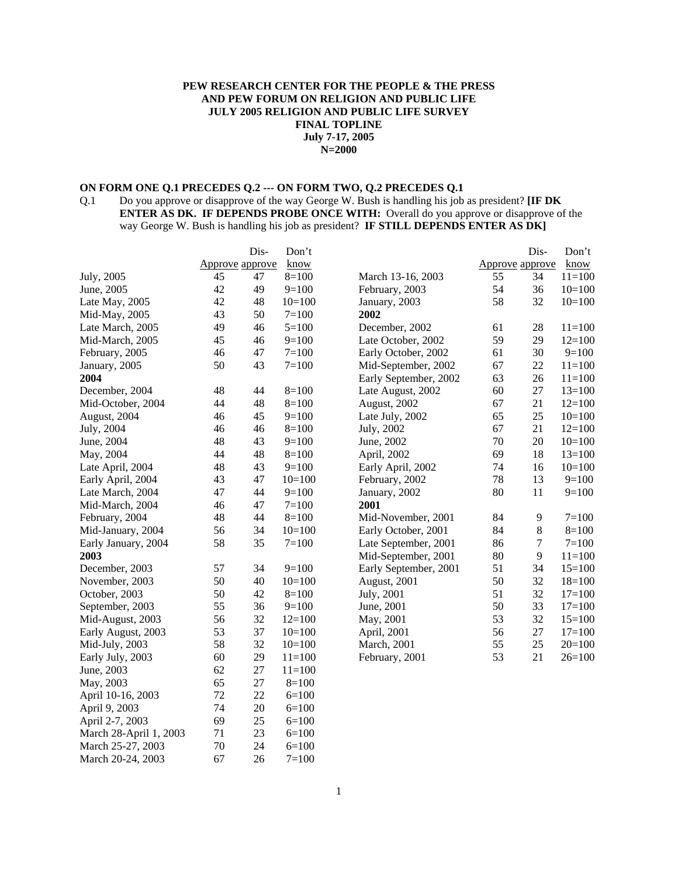#### **PEW RESEARCH CENTER FOR THE PEOPLE & THE PRESS AND PEW FORUM ON RELIGION AND PUBLIC LIFE JULY 2005 RELIGION AND PUBLIC LIFE SURVEY FINAL TOPLINE July 7-17, 2005 N=2000**

# **ON FORM ONE Q.1 PRECEDES Q.2 --- ON FORM TWO, Q.2 PRECEDES Q.1**<br>Q.1 Do you approve or disapprove of the way George W. Bush is handling his job

Do you approve or disapprove of the way George W. Bush is handling his job as president? **[IF DK ENTER AS DK. IF DEPENDS PROBE ONCE WITH:** Overall do you approve or disapprove of the way George W. Bush is handling his job as president? **IF STILL DEPENDS ENTER AS DK]**

|                        |                        | Dis- | Don't      |                       |                        | Dis-   | Don't      |
|------------------------|------------------------|------|------------|-----------------------|------------------------|--------|------------|
|                        | <b>Approve approve</b> |      | know       |                       | <b>Approve</b> approve |        | know       |
| July, 2005             | 45                     | 47   | $8=100$    | March 13-16, 2003     | 55                     | 34     | $11=100$   |
| June, 2005             | 42                     | 49   | $9=100$    | February, 2003        | 54                     | 36     | $10=100$   |
| Late May, 2005         | 42                     | 48   | $10=100$   | January, 2003         | 58                     | 32     | $10=100$   |
| Mid-May, 2005          | 43                     | 50   | $7 = 100$  | 2002                  |                        |        |            |
| Late March, 2005       | 49                     | 46   | $5=100$    | December, 2002        | 61                     | 28     | $11 = 100$ |
| Mid-March, 2005        | 45                     | 46   | $9=100$    | Late October, 2002    | 59                     | 29     | $12=100$   |
| February, 2005         | 46                     | 47   | $7 = 100$  | Early October, 2002   | 61                     | 30     | $9=100$    |
| January, 2005          | 50                     | 43   | $7 = 100$  | Mid-September, 2002   | 67                     | $22\,$ | $11=100$   |
| 2004                   |                        |      |            | Early September, 2002 | 63                     | 26     | $11=100$   |
| December, 2004         | 48                     | 44   | $8=100$    | Late August, 2002     | 60                     | 27     | $13=100$   |
| Mid-October, 2004      | 44                     | 48   | $8=100$    | August, 2002          | 67                     | 21     | $12=100$   |
| August, 2004           | 46                     | 45   | $9=100$    | Late July, 2002       | 65                     | 25     | $10=100$   |
| July, 2004             | 46                     | 46   | $8=100$    | July, 2002            | 67                     | 21     | $12=100$   |
| June, 2004             | 48                     | 43   | $9=100$    | June, 2002            | 70                     | $20\,$ | $10=100$   |
| May, 2004              | 44                     | 48   | $8=100$    | April, 2002           | 69                     | 18     | $13=100$   |
| Late April, 2004       | 48                     | 43   | $9=100$    | Early April, 2002     | 74                     | 16     | $10=100$   |
| Early April, 2004      | 43                     | 47   | $10=100$   | February, 2002        | 78                     | 13     | $9=100$    |
| Late March, 2004       | 47                     | 44   | $9=100$    | January, 2002         | 80                     | 11     | $9=100$    |
| Mid-March, 2004        | 46                     | 47   | $7 = 100$  | 2001                  |                        |        |            |
| February, 2004         | 48                     | 44   | $8=100$    | Mid-November, 2001    | 84                     | 9      | $7=100$    |
| Mid-January, 2004      | 56                     | 34   | $10=100$   | Early October, 2001   | 84                     | 8      | $8=100$    |
| Early January, 2004    | 58                     | 35   | $7 = 100$  | Late September, 2001  | 86                     | 7      | $7 = 100$  |
| 2003                   |                        |      |            | Mid-September, 2001   | 80                     | 9      | $11 = 100$ |
| December, 2003         | 57                     | 34   | $9=100$    | Early September, 2001 | 51                     | 34     | $15=100$   |
| November, 2003         | 50                     | 40   | $10=100$   | August, 2001          | 50                     | 32     | $18=100$   |
| October, 2003          | 50                     | 42   | $8=100$    | July, 2001            | 51                     | 32     | $17=100$   |
| September, 2003        | 55                     | 36   | $9=100$    | June, 2001            | 50                     | 33     | $17=100$   |
| Mid-August, 2003       | 56                     | 32   | $12=100$   | May, 2001             | 53                     | 32     | $15=100$   |
| Early August, 2003     | 53                     | 37   | $10=100$   | April, 2001           | 56                     | 27     | $17=100$   |
| Mid-July, 2003         | 58                     | 32   | $10=100$   | March, 2001           | 55                     | 25     | $20=100$   |
| Early July, 2003       | 60                     | 29   | $11 = 100$ | February, 2001        | 53                     | 21     | $26=100$   |
| June, 2003             | 62                     | 27   | $11 = 100$ |                       |                        |        |            |
| May, 2003              | 65                     | 27   | $8=100$    |                       |                        |        |            |
| April 10-16, 2003      | 72                     | 22   | $6=100$    |                       |                        |        |            |
| April 9, 2003          | 74                     | 20   | $6=100$    |                       |                        |        |            |
| April 2-7, 2003        | 69                     | 25   | $6=100$    |                       |                        |        |            |
| March 28-April 1, 2003 | 71                     | 23   | $6=100$    |                       |                        |        |            |
| March 25-27, 2003      | 70                     | 24   | $6=100$    |                       |                        |        |            |
| March 20-24, 2003      | 67                     | 26   | $7 = 100$  |                       |                        |        |            |

March 25-27, 2003 70 24 6=100 March 20-24, 2003 67 26 7=100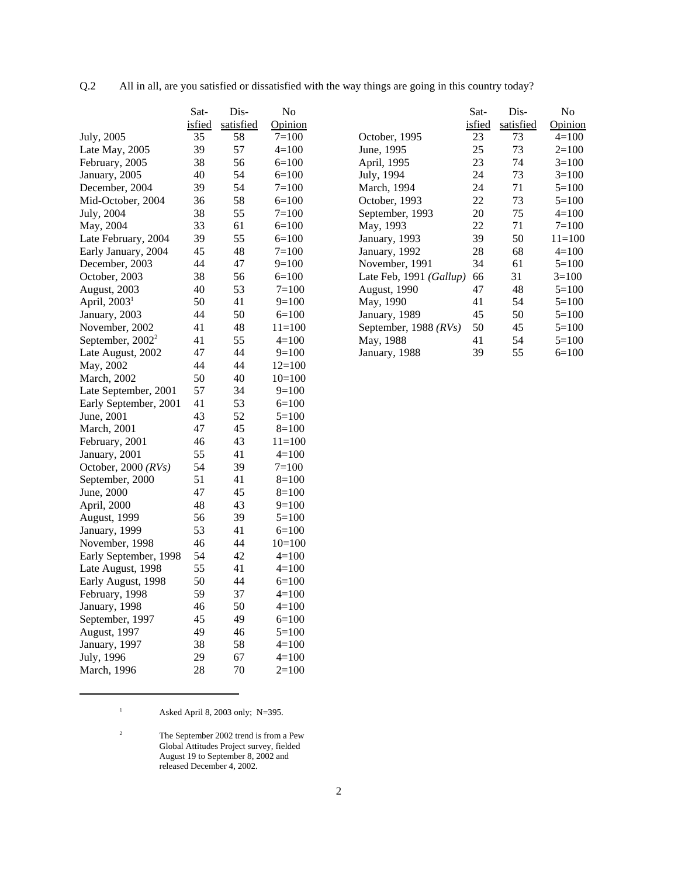| All in all, are you satisfied or dissatisfied with the way things are going in this country today?<br>Q.2 |  |  |  |
|-----------------------------------------------------------------------------------------------------------|--|--|--|
|-----------------------------------------------------------------------------------------------------------|--|--|--|

|                          | Sat-   | Dis-      | No         |
|--------------------------|--------|-----------|------------|
|                          | isfied | satisfied | Opinion    |
| July, 2005               | 35     | 58        | $7 = 100$  |
| Late May, 2005           | 39     | 57        | $4 = 100$  |
| February, 2005           | 38     | 56        | $6=100$    |
| January, 2005            | 40     | 54        | $6=100$    |
| December, 2004           | 39     | 54        | $7 = 100$  |
| Mid-October, 2004        | 36     | 58        | $6=100$    |
| July, 2004               | 38     | 55        | $7 = 100$  |
| May, 2004                | 33     | 61        | $6=100$    |
| Late February, 2004      | 39     | 55        | $6=100$    |
| Early January, 2004      | 45     | 48        | $7 = 100$  |
| December, 2003           | 44     | 47        | $9=100$    |
| October, 2003            | 38     | 56        | $6=100$    |
| August, 2003             | 40     | 53        | $7=100$    |
| April, 2003 <sup>1</sup> | 50     | 41        | $9=100$    |
| January, 2003            | 44     | 50        | $6=100$    |
| November, 2002           | 41     | 48        | $11 = 100$ |
| September, $2002^2$      | 41     | 55        | $4=100$    |
| Late August, 2002        | 47     | 44        | $9=100$    |
| May, 2002                | 44     | 44        | $12=100$   |
| March, 2002              | 50     | 40        | $10=100$   |
| Late September, 2001     | 57     | 34        | $9=100$    |
| Early September, 2001    | 41     | 53        | $6=100$    |
| June, 2001               | 43     | 52        | $5 = 100$  |
| <b>March</b> , 2001      | 47     | 45        | $8=100$    |
| February, 2001           | 46     | 43        | $11 = 100$ |
| January, 2001            | 55     | 41        | $4=100$    |
| October, 2000 (RVs)      | 54     | 39        | $7 = 100$  |
| September, 2000          | 51     | 41        | $8=100$    |
| June, 2000               | 47     | 45        | $8=100$    |
| April, 2000              | 48     | 43        | 9=100      |
| August, 1999             | 56     | 39        | $5=100$    |
| January, 1999            | 53     | 41        | $6=100$    |
| November, 1998           | 46     | 44        | $10=100$   |
| Early September, 1998    | 54     | 42        | $4 = 100$  |
| Late August, 1998        | 55     | 41        | $4=100$    |
| Early August, 1998       | 50     | 44        | $6=100$    |
| February, 1998           | 59     | 37        | 4=100      |
| January, 1998            | 46     | 50        | 4=100      |
| September, 1997          | 45     | 49        | $6=100$    |
| August, 1997             | 49     | 46        | $5=100$    |
| January, 1997            | 38     | 58        | 4=100      |
| July, 1996               | 29     | 67        | $4=100$    |
| March, 1996              | 28     | 70        | $2=100$    |

|                                  | Sat-   | Dis-      | No         |
|----------------------------------|--------|-----------|------------|
|                                  | isfied | satisfied | Opinion    |
| October, 1995                    | 23     | 73        | $4=100$    |
| June, 1995                       | 25     | 73        | $2=100$    |
| April, 1995                      | 23     | 74        | $3=100$    |
| July, 1994                       | 24     | 73        | $3=100$    |
| March, 1994                      | 24     | 71        | $5=100$    |
| October, 1993                    | 22     | 73        | $5=100$    |
| September, 1993                  | 20     | 75        | $4=100$    |
| May, 1993                        | 22     | 71        | $7=100$    |
| January, 1993                    | 39     | 50        | $11 = 100$ |
| January, 1992                    | 28     | 68        | $4=100$    |
| November, 1991                   | 34     | 61        | $5=100$    |
| Late Feb, 1991 ( <i>Gallup</i> ) | 66     | 31        | $3=100$    |
| <b>August, 1990</b>              | 47     | 48        | $5=100$    |
| May, 1990                        | 41     | 54        | $5=100$    |
| January, 1989                    | 45     | 50        | $5=100$    |
| September, 1988 (RVs)            | 50     | 45        | $5=100$    |
| May, 1988                        | 41     | 54        | $5=100$    |
| January, 1988                    | 39     | 55        | $6=100$    |

<sup>1</sup> Asked April 8, 2003 only; N=395.

 $2<sup>2</sup>$  The September 2002 trend is from a Pew Global Attitudes Project survey, fielded August 19 to September 8, 2002 and released December 4, 2002.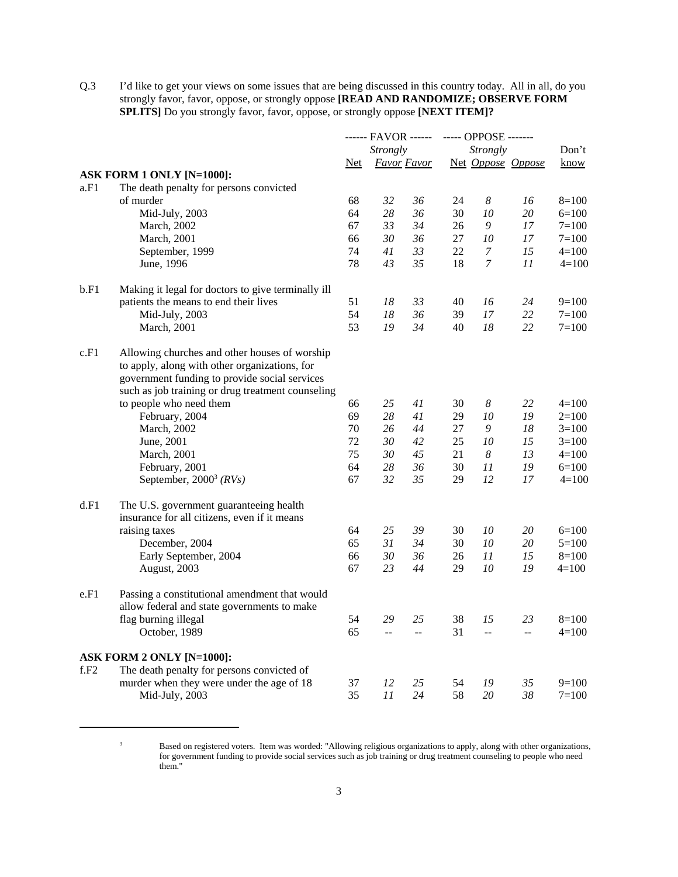Q.3 I'd like to get your views on some issues that are being discussed in this country today. All in all, do you strongly favor, favor, oppose, or strongly oppose **[READ AND RANDOMIZE; OBSERVE FORM SPLITS]** Do you strongly favor, favor, oppose, or strongly oppose **[NEXT ITEM]?**

|      |                                                                                                                                                                                                      |            |                 |                    |    | ------ FAVOR ------ ----- OPPOSE ------- |                    |             |
|------|------------------------------------------------------------------------------------------------------------------------------------------------------------------------------------------------------|------------|-----------------|--------------------|----|------------------------------------------|--------------------|-------------|
|      |                                                                                                                                                                                                      |            | <b>Strongly</b> |                    |    | <b>Strongly</b>                          |                    | Don't       |
|      |                                                                                                                                                                                                      | <u>Net</u> |                 | <b>Favor Favor</b> |    | Net Oppose Oppose                        |                    | <u>know</u> |
|      | ASK FORM 1 ONLY [N=1000]:                                                                                                                                                                            |            |                 |                    |    |                                          |                    |             |
| a.F1 | The death penalty for persons convicted                                                                                                                                                              |            |                 |                    |    |                                          |                    |             |
|      | of murder                                                                                                                                                                                            | 68         | 32              | 36                 | 24 | $\boldsymbol{8}$                         | 16                 | $8=100$     |
|      | Mid-July, 2003                                                                                                                                                                                       | 64         | 28              | 36                 | 30 | 10                                       | 20                 | $6=100$     |
|      | March, 2002                                                                                                                                                                                          | 67         | 33              | 34                 | 26 | 9                                        | 17                 | $7 = 100$   |
|      | <b>March</b> , 2001                                                                                                                                                                                  | 66         | 30              | 36                 | 27 | 10                                       | 17                 | $7 = 100$   |
|      | September, 1999                                                                                                                                                                                      | 74         | 41              | 33                 | 22 | 7                                        | 15                 | $4=100$     |
|      | June, 1996                                                                                                                                                                                           | 78         | 43              | 35                 | 18 | $\boldsymbol{7}$                         | 11                 | $4 = 100$   |
| b.F1 | Making it legal for doctors to give terminally ill                                                                                                                                                   |            |                 |                    |    |                                          |                    |             |
|      | patients the means to end their lives                                                                                                                                                                | 51         | 18              | 33                 | 40 | 16                                       | 24                 | $9=100$     |
|      | Mid-July, 2003                                                                                                                                                                                       | 54         | 18              | 36                 | 39 | 17                                       | 22                 | $7 = 100$   |
|      | March, 2001                                                                                                                                                                                          | 53         | 19              | 34                 | 40 | 18                                       | 22                 | $7 = 100$   |
| c.F1 | Allowing churches and other houses of worship<br>to apply, along with other organizations, for<br>government funding to provide social services<br>such as job training or drug treatment counseling |            |                 |                    |    |                                          |                    |             |
|      | to people who need them                                                                                                                                                                              | 66         | 25              | 41                 | 30 | $\boldsymbol{8}$                         | 22                 | $4=100$     |
|      | February, 2004                                                                                                                                                                                       | 69         | 28              | 41                 | 29 | 10                                       | 19                 | $2=100$     |
|      | March, 2002                                                                                                                                                                                          | 70         | 26              | 44                 | 27 | 9                                        | 18                 | $3=100$     |
|      | June, 2001                                                                                                                                                                                           | 72         | 30              | 42                 | 25 | 10                                       | 15                 | $3=100$     |
|      | March, 2001                                                                                                                                                                                          | 75         | 30              | 45                 | 21 | $\boldsymbol{8}$                         | 13                 | $4=100$     |
|      | February, 2001                                                                                                                                                                                       | 64         | 28              | 36                 | 30 | 11                                       | 19                 | $6=100$     |
|      | September, $2000^3$ (RVs)                                                                                                                                                                            | 67         | 32              | 35                 | 29 | 12                                       | 17                 | $4=100$     |
| d.F1 | The U.S. government guaranteeing health<br>insurance for all citizens, even if it means                                                                                                              |            |                 |                    |    |                                          |                    |             |
|      | raising taxes                                                                                                                                                                                        | 64         | 25              | 39                 | 30 | 10                                       | 20                 | $6=100$     |
|      | December, 2004                                                                                                                                                                                       | 65         | 31              | 34                 | 30 | 10                                       | 20                 | $5 = 100$   |
|      | Early September, 2004                                                                                                                                                                                | 66         | 30              | 36                 | 26 | 11                                       | 15                 | $8=100$     |
|      | August, 2003                                                                                                                                                                                         | 67         | 23              | 44                 | 29 | 10                                       | 19                 | $4=100$     |
| e.F1 | Passing a constitutional amendment that would                                                                                                                                                        |            |                 |                    |    |                                          |                    |             |
|      | allow federal and state governments to make                                                                                                                                                          |            |                 |                    |    |                                          |                    |             |
|      | flag burning illegal                                                                                                                                                                                 | 54         | 29              | 25                 | 38 | 15                                       | 23                 | $8=100$     |
|      | October, 1989                                                                                                                                                                                        | 65         | $\overline{a}$  | $\overline{a}$     | 31 | $\bar{\phantom{a}}$                      | $\bar{\mathbb{Z}}$ | $4=100$     |
|      | ASK FORM 2 ONLY [N=1000]:                                                                                                                                                                            |            |                 |                    |    |                                          |                    |             |
| f.F2 | The death penalty for persons convicted of                                                                                                                                                           |            |                 |                    |    |                                          |                    |             |
|      | murder when they were under the age of 18                                                                                                                                                            | 37         | 12              | 25                 | 54 | 19                                       | 35                 | $9=100$     |
|      | Mid-July, 2003                                                                                                                                                                                       | 35         | 11              | 24                 | 58 | 20                                       | 38                 | $7 = 100$   |

<sup>&</sup>lt;sup>3</sup> Based on registered voters. Item was worded: "Allowing religious organizations to apply, along with other organizations, for government funding to provide social services such as job training or drug treatment counseling to people who need them."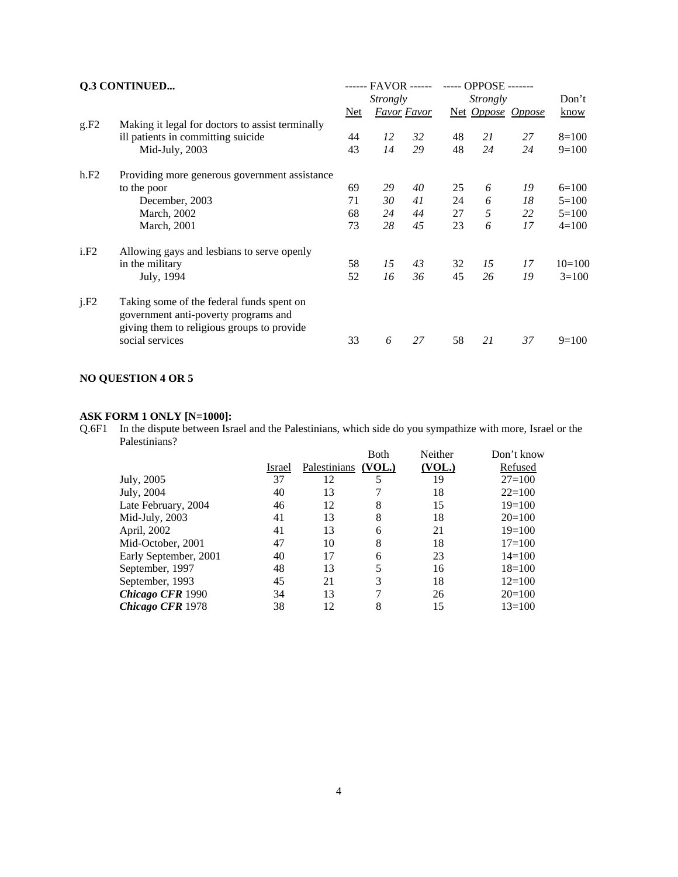|      | Q.3 CONTINUED                                                                                                                   |            | ------ FAVOR ------ |                    |    |          | ----- OPPOSE ------- |          |
|------|---------------------------------------------------------------------------------------------------------------------------------|------------|---------------------|--------------------|----|----------|----------------------|----------|
|      |                                                                                                                                 |            | <i>Strongly</i>     |                    |    | Strongly |                      | Don't    |
|      |                                                                                                                                 | <u>Net</u> |                     | <i>Favor Favor</i> |    |          | Net Oppose Oppose    | know     |
| g.F2 | Making it legal for doctors to assist terminally                                                                                |            |                     |                    |    |          |                      |          |
|      | ill patients in committing suicide                                                                                              | 44         | 12                  | 32                 | 48 | 21       | 27                   | $8=100$  |
|      | Mid-July, $2003$                                                                                                                | 43         | 14                  | 29                 | 48 | 24       | 24                   | $9=100$  |
| h.F2 | Providing more generous government assistance                                                                                   |            |                     |                    |    |          |                      |          |
|      | to the poor                                                                                                                     | 69         | 29                  | 40                 | 25 | 6        | 19                   | $6=100$  |
|      | December, 2003                                                                                                                  | 71         | 30                  | 41                 | 24 | 6        | 18                   | $5=100$  |
|      | March, 2002                                                                                                                     | 68         | 24                  | 44                 | 27 | 5        | 22                   | $5=100$  |
|      | March, 2001                                                                                                                     | 73         | 28                  | 45                 | 23 | 6        | 17                   | $4=100$  |
| i.F2 | Allowing gays and lesbians to serve openly                                                                                      |            |                     |                    |    |          |                      |          |
|      | in the military                                                                                                                 | 58         | 15                  | 43                 | 32 | 15       | 17                   | $10=100$ |
|      | July, 1994                                                                                                                      | 52         | 16                  | 36                 | 45 | 26       | 19                   | $3=100$  |
| i.F2 | Taking some of the federal funds spent on<br>government anti-poverty programs and<br>giving them to religious groups to provide |            |                     |                    |    |          |                      |          |
|      | social services                                                                                                                 | 33         | 6                   | 27                 | 58 | 21       | 37                   | $9=100$  |

# **NO QUESTION 4 OR 5**

#### **ASK FORM 1 ONLY [N=1000]:**

Q.6F1 In the dispute between Israel and the Palestinians, which side do you sympathize with more, Israel or the Palestinians?

|                       |        |              | Both   | Neither | Don't know |
|-----------------------|--------|--------------|--------|---------|------------|
|                       | Israel | Palestinians | (VOL.) | (VOL.)  | Refused    |
| July, 2005            | 37     | 12           |        | 19      | $27=100$   |
| July, 2004            | 40     | 13           |        | 18      | $22=100$   |
| Late February, 2004   | 46     | 12           | 8      | 15      | $19=100$   |
| Mid-July, 2003        | 41     | 13           | 8      | 18      | $20=100$   |
| April, 2002           | 41     | 13           | 6      | 21      | $19=100$   |
| Mid-October, 2001     | 47     | 10           | 8      | 18      | $17 = 100$ |
| Early September, 2001 | 40     | 17           | 6      | 23      | $14=100$   |
| September, 1997       | 48     | 13           |        | 16      | $18=100$   |
| September, 1993       | 45     | 21           | 3      | 18      | $12=100$   |
| Chicago CFR 1990      | 34     | 13           |        | 26      | $20=100$   |
| Chicago CFR 1978      | 38     | 12           | 8      | 15      | $13=100$   |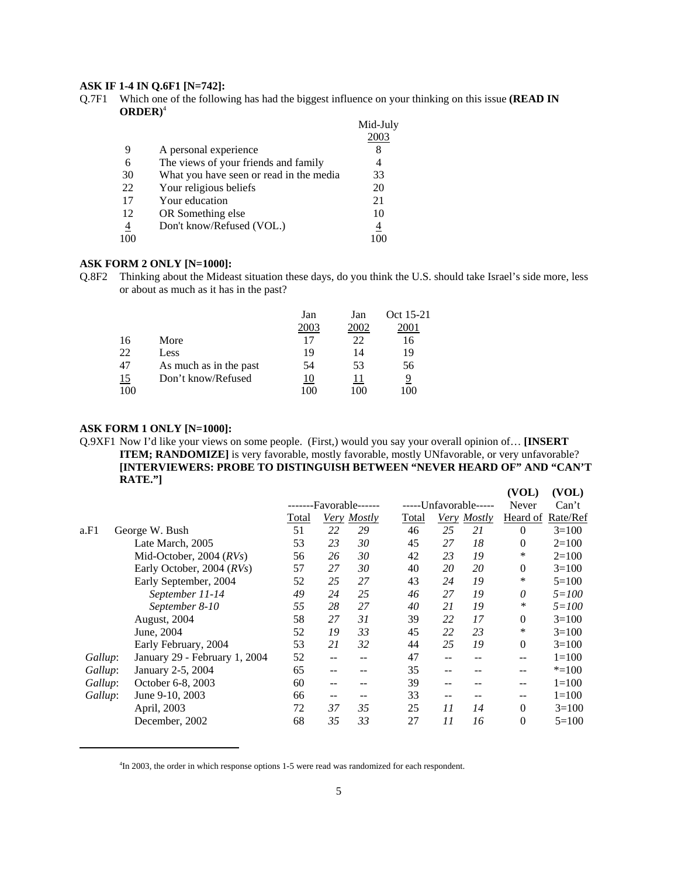#### **ASK IF 1-4 IN Q.6F1 [N=742]:**

Q.7F1 Which one of the following has had the biggest influence on your thinking on this issue **(READ IN ORDER)**<sup>4</sup>

|                |                                         | Mid-July |
|----------------|-----------------------------------------|----------|
|                |                                         | 2003     |
| 9              | A personal experience                   | 8        |
| 6              | The views of your friends and family    | 4        |
| 30             | What you have seen or read in the media | 33       |
| 22             | Your religious beliefs                  | 20       |
| 17             | Your education                          | 21       |
| 12             | OR Something else                       | 10       |
| $\overline{4}$ | Don't know/Refused (VOL.)               | 4        |
| 100            |                                         |          |

#### **ASK FORM 2 ONLY [N=1000]:**

Q.8F2 Thinking about the Mideast situation these days, do you think the U.S. should take Israel's side more, less or about as much as it has in the past?

|           |                        | Jan  | Jan  | Oct 15-21 |
|-----------|------------------------|------|------|-----------|
|           |                        | 2003 | 2002 | 2001      |
| 16        | More                   | 17   | 22   | 16        |
| 22        | Less                   | 19   | 14   | 19        |
| 47        | As much as in the past | 54   | 53   | 56        |
| <u>15</u> | Don't know/Refused     | 10   | 11   | 9         |
| 100       |                        | 100  | 100  |           |

#### **ASK FORM 1 ONLY [N=1000]:**

Q.9XF1 Now I'd like your views on some people. (First,) would you say your overall opinion of… **[INSERT ITEM; RANDOMIZE]** is very favorable, mostly favorable, mostly UNfavorable, or very unfavorable? **[INTERVIEWERS: PROBE TO DISTINGUISH BETWEEN "NEVER HEARD OF" AND "CAN'T RATE."] (VOL) (VOL)**

|         |                               |       |     | -------Favorable------ |       |       | -----Unfavorable----- | Never             | Can't     |
|---------|-------------------------------|-------|-----|------------------------|-------|-------|-----------------------|-------------------|-----------|
|         |                               | Total |     | Very Mostly            | Total | Very  | <i>Mostly</i>         | Heard of Rate/Ref |           |
| a.F1    | George W. Bush                | 51    | 22  | 29                     | 46    | 25    | 21                    | $\Omega$          | $3=100$   |
|         | Late March, 2005              | 53    | 23  | 30                     | 45    | 27    | 18                    | $\theta$          | $2=100$   |
|         | Mid-October, 2004 $(RVs)$     | 56    | 26  | 30                     | 42    | 23    | 19                    | *                 | $2=100$   |
|         | Early October, 2004 (RVs)     | 57    | 27  | 30                     | 40    | 20    | 20                    | $\theta$          | $3=100$   |
|         | Early September, 2004         | 52    | 25  | 27                     | 43    | 24    | 19                    | *                 | $5 = 100$ |
|         | September 11-14               | 49    | 24  | 25                     | 46    | 27    | 19                    | $\theta$          | $5 = 100$ |
|         | September 8-10                | 55    | 28  | 27                     | 40    | 21    | 19                    | ∗                 | $5 = 100$ |
|         | August, 2004                  | 58    | 27  | 31                     | 39    | 22    | 17                    | $\mathbf{0}$      | $3=100$   |
|         | June, 2004                    | 52    | 19  | 33                     | 45    | 22    | 23                    | *                 | $3=100$   |
|         | Early February, 2004          | 53    | 21  | 32                     | 44    | 25    | 19                    | $\Omega$          | $3=100$   |
| Gallup: | January 29 - February 1, 2004 | 52    | --  | --                     | 47    | --    | --                    | --                | $1=100$   |
| Gallup: | January 2-5, 2004             | 65    | $-$ |                        | 35    | $- -$ |                       | --                | $* = 100$ |
| Gallup: | October 6-8, 2003             | 60    | $-$ | --                     | 39    | $- -$ |                       | --                | $1=100$   |
| Gallup: | June 9-10, 2003               | 66    | --  | --                     | 33    | $- -$ |                       | --                | $1=100$   |
|         | April, 2003                   | 72    | 37  | 35                     | 25    | 11    | 14                    | $\theta$          | $3=100$   |
|         | December, 2002                | 68    | 35  | 33                     | 27    | 11    | 16                    | $\theta$          | $5=100$   |
|         |                               |       |     |                        |       |       |                       |                   |           |

<sup>&</sup>lt;sup>4</sup>In 2003, the order in which response options 1-5 were read was randomized for each respondent.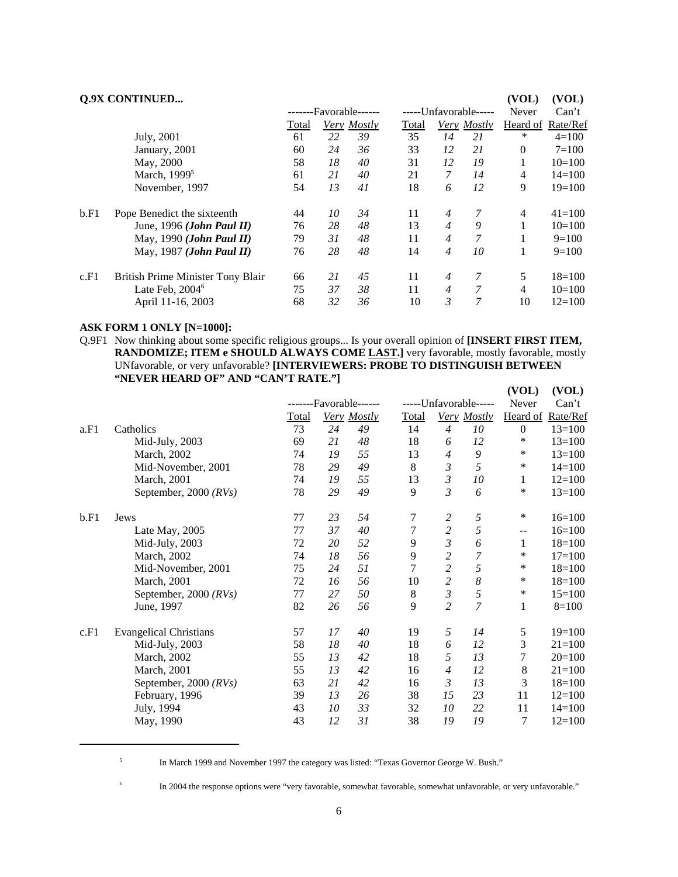|      | <b>Q.9X CONTINUED</b>             |       |    |                        |                       |                |        | (VOL)        | (VOL)             |
|------|-----------------------------------|-------|----|------------------------|-----------------------|----------------|--------|--------------|-------------------|
|      |                                   |       |    | -------Favorable------ | -----Unfavorable----- |                |        | Never        | Can't             |
|      |                                   | Total |    | Very Mostly            | Total                 | Very           | Mostly |              | Heard of Rate/Ref |
|      | July, 2001                        | 61    | 22 | 39                     | 35                    | 14             | 21     | *            | $4=100$           |
|      | January, 2001                     | 60    | 24 | 36                     | 33                    | 12             | 21     | $\mathbf{0}$ | $7 = 100$         |
|      | May, 2000                         | 58    | 18 | 40                     | 31                    | 12             | 19     | 1            | $10=100$          |
|      | March, 1999 <sup>5</sup>          | 61    | 21 | 40                     | 21                    | $\overline{7}$ | 14     | 4            | $14 = 100$        |
|      | November, 1997                    | 54    | 13 | 41                     | 18                    | 6              | 12     | 9            | $19=100$          |
| b.F1 | Pope Benedict the sixteenth       | 44    | 10 | 34                     | 11                    | $\overline{4}$ | 7      | 4            | $41 = 100$        |
|      | June, 1996 (John Paul II)         | 76    | 28 | 48                     | 13                    | $\overline{4}$ | 9      |              | $10=100$          |
|      | May, 1990 ( <i>John Paul II</i> ) | 79    | 31 | 48                     | 11                    | $\overline{4}$ | 7      |              | $9=100$           |
|      | May, 1987 (John Paul II)          | 76    | 28 | 48                     | 14                    | $\overline{4}$ | 10     | 1            | $9=100$           |
| c.F1 | British Prime Minister Tony Blair | 66    | 21 | 45                     | 11                    | $\overline{4}$ | 7      | 5            | $18=100$          |
|      | Late Feb, $20046$                 | 75    | 37 | 38                     | 11                    | $\overline{4}$ | 7      | 4            | $10=100$          |
|      | April 11-16, 2003                 | 68    | 32 | 36                     | 10                    | 3              | 7      | 10           | $12=100$          |

#### **ASK FORM 1 ONLY [N=1000]:**

Q.9F1 Now thinking about some specific religious groups... Is your overall opinion of **[INSERT FIRST ITEM,** RANDOMIZE; ITEM e SHOULD ALWAYS COME LAST.] very favorable, mostly favorable, mostly UNfavorable, or very unfavorable? **[INTERVIEWERS: PROBE TO DISTINGUISH BETWEEN "NEVER HEARD OF" AND "CAN'T RATE."] (VOL) (VOL)**

|                               |              |    |    |                                              |                         |                | , , on,                                     | $\lambda$         |
|-------------------------------|--------------|----|----|----------------------------------------------|-------------------------|----------------|---------------------------------------------|-------------------|
|                               |              |    |    |                                              |                         |                | Never                                       | Can't             |
|                               | <b>Total</b> |    |    | Total                                        |                         |                |                                             | Heard of Rate/Ref |
| Catholics                     | 73           | 24 | 49 | 14                                           | $\overline{4}$          | 10             | $\mathbf{0}$                                | $13=100$          |
| Mid-July, 2003                | 69           | 21 | 48 | 18                                           | 6                       | 12             | ∗                                           | $13=100$          |
| March, 2002                   | 74           | 19 | 55 | 13                                           | $\overline{4}$          | 9              | $\ast$                                      | $13=100$          |
| Mid-November, 2001            | 78           | 29 | 49 | 8                                            | 3                       | 5              | $\ast$                                      | $14=100$          |
| March, 2001                   | 74           | 19 | 55 | 13                                           | $\mathfrak{Z}$          | 10             | 1                                           | $12=100$          |
| September, 2000 $(RVs)$       | 78           | 29 | 49 | 9                                            | $\mathfrak{Z}$          | 6              | *                                           | $13=100$          |
| Jews                          | 77           | 23 | 54 | 7                                            | $\overline{\mathbf{c}}$ | 5              | $\ast$                                      | $16=100$          |
| Late May, 2005                | 77           | 37 | 40 | 7                                            |                         | 5              | $\overline{\phantom{m}}$                    | $16=100$          |
| Mid-July, 2003                | 72           | 20 | 52 | 9                                            | $\mathfrak{Z}$          | 6              | 1                                           | $18=100$          |
| March, 2002                   | 74           | 18 | 56 | 9                                            | $\overline{c}$          | 7              | $\ast$                                      | $17=100$          |
| Mid-November, 2001            | 75           | 24 | 51 | 7                                            | $\overline{c}$          | 5              | $\ast$                                      | $18=100$          |
| March, 2001                   | 72           | 16 | 56 | 10                                           | $\overline{c}$          | 8              | $\ast$                                      | $18=100$          |
| September, 2000 (RVs)         | 77           | 27 | 50 | 8                                            | $\mathfrak{Z}$          | 5              | $\ast$                                      | $15=100$          |
| June, 1997                    | 82           | 26 | 56 | 9                                            | $\overline{c}$          | 7              | $\mathbf{1}$                                | $8=100$           |
| <b>Evangelical Christians</b> | 57           | 17 | 40 | 19                                           | 5                       | 14             | 5                                           | $19=100$          |
| Mid-July, 2003                | 58           | 18 | 40 | 18                                           | 6                       | 12             | 3                                           | $21 = 100$        |
| March, 2002                   | 55           | 13 | 42 | 18                                           | 5                       | 13             | 7                                           | $20=100$          |
| March, 2001                   | 55           | 13 | 42 | 16                                           | $\overline{4}$          | 12             | 8                                           | $21 = 100$        |
| September, 2000 $(RVs)$       | 63           | 21 | 42 | 16                                           | 3                       | 13             | 3                                           | $18=100$          |
| February, 1996                | 39           | 13 | 26 | 38                                           | 15                      | 23             | 11                                          | $12=100$          |
| July, 1994                    | 43           | 10 | 33 | 32                                           | 10                      | 22             | 11                                          | $14=100$          |
| May, 1990                     | 43           | 12 | 31 | 38                                           | 19                      | 19             | 7                                           | $12=100$          |
|                               |              |    |    | -------Favorable------<br><b>Very Mostly</b> |                         | $\overline{c}$ | -----Unfavorable-----<br><b>Very Mostly</b> |                   |

<sup>5</sup> In March 1999 and November 1997 the category was listed: "Texas Governor George W. Bush."

<sup>6</sup> In 2004 the response options were "very favorable, somewhat favorable, somewhat unfavorable, or very unfavorable."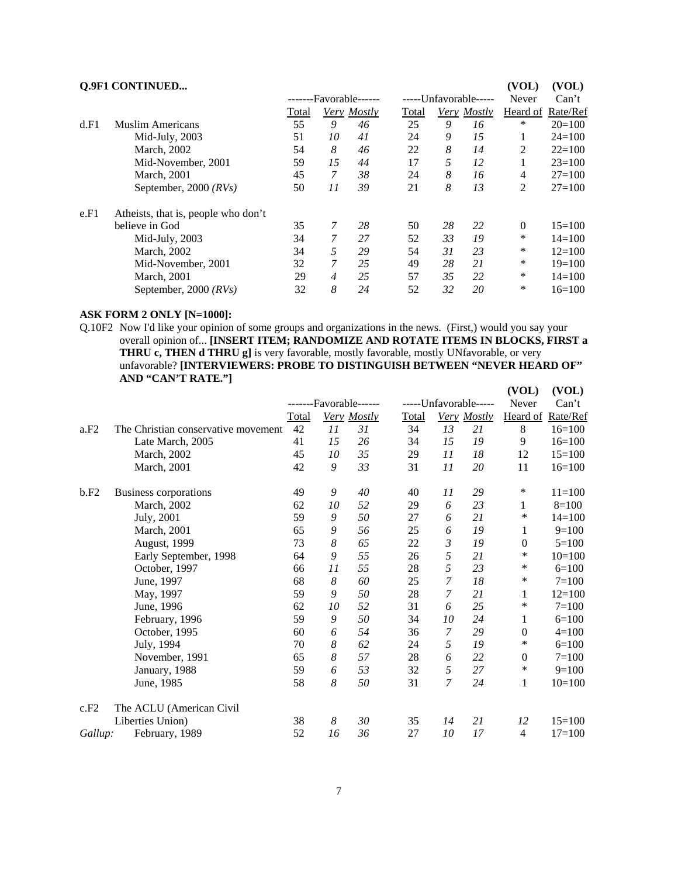| <b>Q.9F1 CONTINUED</b> |
|------------------------|
|                        |

|      | <b>Q.9F1 CONTINUED</b>              |                        |                |             |       |                       |             | (VOL)             | (VOL)      |
|------|-------------------------------------|------------------------|----------------|-------------|-------|-----------------------|-------------|-------------------|------------|
|      |                                     | -------Favorable------ |                |             |       | -----Unfavorable----- |             |                   | Can't      |
|      |                                     | Total                  |                | Very Mostly | Total |                       | Very Mostly | Heard of Rate/Ref |            |
| d.F1 | Muslim Americans                    | 55                     | 9              | 46          | 25    | 9                     | 16          | *                 | $20=100$   |
|      | Mid-July, 2003                      | 51                     | 10             | 41          | 24    | 9                     | 15          | 1                 | $24 = 100$ |
|      | March, 2002                         | 54                     | 8              | 46          | 22    | 8                     | 14          | 2                 | $22=100$   |
|      | Mid-November, 2001                  | 59                     | 15             | 44          | 17    | 5                     | 12          |                   | $23=100$   |
|      | March, 2001                         | 45                     | 7              | 38          | 24    | 8                     | 16          | 4                 | $27 = 100$ |
|      | September, 2000 $(RVs)$             | 50                     | 11             | 39          | 21    | 8                     | 13          | 2                 | $27 = 100$ |
| e.F1 | Atheists, that is, people who don't |                        |                |             |       |                       |             |                   |            |
|      | believe in God                      | 35                     | 7              | 28          | 50    | 28                    | 22          | $\Omega$          | $15=100$   |
|      | Mid-July, 2003                      | 34                     | 7              | 27          | 52    | 33                    | 19          | *                 | $14 = 100$ |
|      | March, 2002                         | 34                     | 5              | 29          | 54    | 31                    | 23          | *                 | $12=100$   |
|      | Mid-November, 2001                  | 32                     | 7              | 25          | 49    | 28                    | 21          | *                 | $19=100$   |
|      | March, 2001                         | 29                     | $\overline{4}$ | 25          | 57    | 35                    | 22          | *                 | $14 = 100$ |
|      | September, 2000 $(RVs)$             | 32                     | 8              | 24          | 52    | 32                    | 20          | *                 | $16=100$   |

### **ASK FORM 2 ONLY [N=1000]:**

Q.10F2 Now I'd like your opinion of some groups and organizations in the news. (First,) would you say your overall opinion of... **[INSERT ITEM; RANDOMIZE AND ROTATE ITEMS IN BLOCKS, FIRST a** THRU c, THEN d THRU g] is very favorable, mostly favorable, mostly UNfavorable, or very unfavorable? **[INTERVIEWERS: PROBE TO DISTINGUISH BETWEEN "NEVER HEARD OF" AND "CAN'T RATE."] (VOL) (VOL)**

|         |                                     |              |    | -------Favorable------ |              |                | -----Unfavorable----- | Never            | Can't      |
|---------|-------------------------------------|--------------|----|------------------------|--------------|----------------|-----------------------|------------------|------------|
|         |                                     | <b>Total</b> |    | Very Mostly            | <b>Total</b> |                | <b>Very Mostly</b>    | Heard of         | Rate/Ref   |
| a.F2    | The Christian conservative movement | 42           | 11 | 31                     | 34           | 13             | 21                    | 8                | $16=100$   |
|         | Late March, 2005                    | 41           | 15 | 26                     | 34           | 15             | 19                    | 9                | $16=100$   |
|         | March, 2002                         | 45           | 10 | 35                     | 29           | 11             | 18                    | 12               | $15=100$   |
|         | March, 2001                         | 42           | 9  | 33                     | 31           | 11             | 20                    | 11               | $16=100$   |
| b.F2    | Business corporations               | 49           | 9  | 40                     | 40           | 11             | 29                    | ∗                | $11 = 100$ |
|         | March, 2002                         | 62           | 10 | 52                     | 29           | 6              | 23                    | 1                | $8=100$    |
|         | July, 2001                          | 59           | 9  | 50                     | 27           | 6              | 21                    | ∗                | $14=100$   |
|         | March, 2001                         | 65           | 9  | 56                     | 25           | 6              | 19                    | 1                | $9=100$    |
|         | August, 1999                        | 73           | 8  | 65                     | 22           | 3              | 19                    | $\mathbf{0}$     | $5=100$    |
|         | Early September, 1998               | 64           | 9  | 55                     | 26           | 5              | 21                    | $\ast$           | $10=100$   |
|         | October, 1997                       | 66           | 11 | 55                     | 28           | 5              | 23                    | ∗                | $6=100$    |
|         | June, 1997                          | 68           | 8  | 60                     | 25           | $\overline{7}$ | 18                    | ∗                | $7=100$    |
|         | May, 1997                           | 59           | 9  | 50                     | 28           | 7              | 21                    | 1                | $12=100$   |
|         | June, 1996                          | 62           | 10 | 52                     | 31           | 6              | 25                    | *                | $7=100$    |
|         | February, 1996                      | 59           | 9  | 50                     | 34           | 10             | 24                    | 1                | $6=100$    |
|         | October, 1995                       | 60           | 6  | 54                     | 36           | 7              | 29                    | $\boldsymbol{0}$ | $4 = 100$  |
|         | July, 1994                          | 70           | 8  | 62                     | 24           | 5              | 19                    | $\ast$           | $6=100$    |
|         | November, 1991                      | 65           | 8  | 57                     | 28           | 6              | 22                    | $\mathbf{0}$     | $7=100$    |
|         | January, 1988                       | 59           | 6  | 53                     | 32           | 5              | 27                    | $\ast$           | $9=100$    |
|         | June, 1985                          | 58           | 8  | 50                     | 31           | $\overline{7}$ | 24                    | 1                | $10=100$   |
| c.F2    | The ACLU (American Civil            |              |    |                        |              |                |                       |                  |            |
|         | Liberties Union)                    | 38           | 8  | 30                     | 35           | 14             | 21                    | 12               | $15=100$   |
| Gallup: | February, 1989                      | 52           | 16 | 36                     | 27           | 10             | 17                    | 4                | $17=100$   |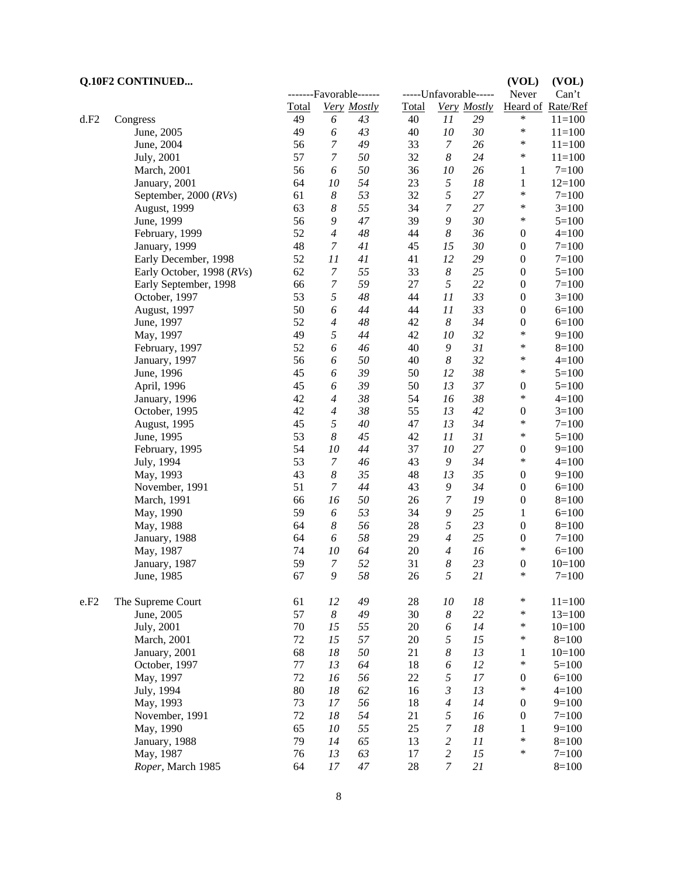#### **CONTINUED...** (VOL) (VOL) (VOL)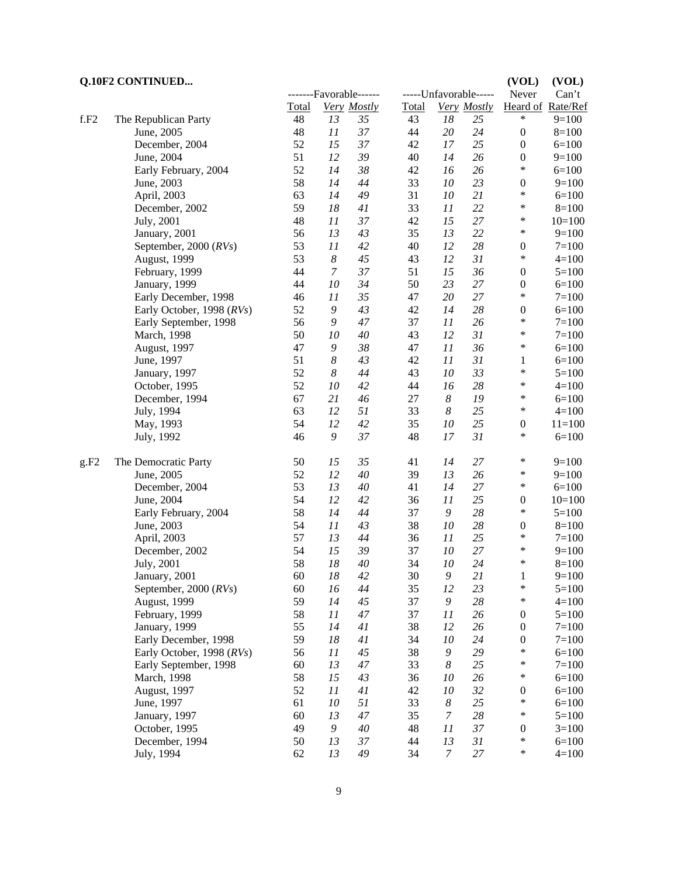**Q.10F2 CONTINUED... (VOL) (VOL)** -------Favorable------ ------Unfavorable----- Never Can't Total *Very Mostly* Total *Very Mostly* Heard of Rate/Ref f.F2 The Republican Party 48 *13 35* 43 *18 25* \* 9=100 June, 2005 48 *11 37* 44 *20 24* 0 8=100 December, 2004 52 *15 37* 42 *17 25* 0 6=100 June, 2004 51 *12 39* 40 *14 26* 0 9=100 Early February, 2004 52 *14 38* 42 *16 26* \* 6=100 June, 2003 58 *14 44* 33 *10 23* 0 9=100 April, 2003 63 *14* 49 31 *10* 21 \* 6=100<br>December 2002 50 *18 41* 33 *11* 22 \* 8=100 December, 2002 59 *18 41* 33 *11* 22 \* 8=100<br>
Iuly 2001 48 *11* 37 42 7 \* 10-100 July, 2001 48 *11 37* 42 *15 27* \* 10=100 January, 2001 56 *13* 43 35 *13* 22 \* 9=100<br>September, 2000 (RVs) 53 *11* 42 40 *12* 28 0 7=100 September, 2000 (*RVs*) 53 *11 42* 40 *12 28* 0 7=100 August, 1999 53 *8 45* 43 *12 31* \* 4=100 February, 1999 44 *7 37* 51 *15 36* 0 5=100 January, 1999 44 *10 34* 50 *23 27* 0 6=100 Early December, 1998 46 *11 35* 47 *20 27* \* 7=100 Early October, 1998 (*RVs*) 52 9 43 42 14 28 0 6=100<br>Early September, 1998 56 9 47 37 11 26 \* 7=100 Early September, 1998 56 9 47 37 11 26 \* 7=100<br>March, 1998 50 10 40 43 12 31 \* 7=100 March, 1998 50 *10* 40 43 *12* 31 \* 7=100<br>August 1997 47 9 38 47 11 36 \* 6-100 August, 1997 47 *9 38* 47 *11 36* \* 6=100 June, 1997 51 *8 43* 42 *11 31* 1 6=100 January, 1997 52 *8 44* 43 *10 33* \* 5=100 October, 1995 52 *10 42* 44 *16 28* \* 4=100 December, 1994 67 *21 46* 27 *8 19* \* 6=100 July, 1994 63 *12 51* 33 *8 25* \* 4=100 May, 1993 54 *12 42* 35 *10 25* 0 11=100 July, 1992 46 *9 37* 48 *17 31* \* 6=100 g.F2 The Democratic Party  $\begin{array}{ccccccccc}\n50 & 15 & 35 & 41 & 14 & 27 & * & 9=100 \\
\text{June. } 2005 & 52 & 12 & 40 & 39 & 13 & 26 & * & 9=100\n\end{array}$ June, 2005 52 *12* 40 39 *13* 26 \* 9=100<br>December 2004 53 *13* 40 *11* 14 27 \* 6-100 December, 2004 53 *13 40* 41 *14 27* \* 6=100 June, 2004 54 *12 42* 36 *11 25* 0 10=100

| June, 2004                | 54 | 12 | 42 | 36 | 11 | 25 | 0                | $10=100$  |
|---------------------------|----|----|----|----|----|----|------------------|-----------|
| Early February, 2004      | 58 | 14 | 44 | 37 | 9  | 28 | $\ast$           | $5=100$   |
| June, 2003                | 54 | 11 | 43 | 38 | 10 | 28 | $\boldsymbol{0}$ | $8=100$   |
| April, 2003               | 57 | 13 | 44 | 36 | 11 | 25 | $\ast$           | $7 = 100$ |
| December, 2002            | 54 | 15 | 39 | 37 | 10 | 27 | $\ast$           | $9=100$   |
| July, 2001                | 58 | 18 | 40 | 34 | 10 | 24 | $\ast$           | $8=100$   |
| January, 2001             | 60 | 18 | 42 | 30 | 9  | 21 | 1                | $9=100$   |
| September, 2000 $(RVs)$   | 60 | 16 | 44 | 35 | 12 | 23 | $\ast$           | $5=100$   |
| August, 1999              | 59 | 14 | 45 | 37 | 9  | 28 | $\ast$           | $4=100$   |
| February, 1999            | 58 | 11 | 47 | 37 | 11 | 26 | $\boldsymbol{0}$ | $5 = 100$ |
| January, 1999             | 55 | 14 | 41 | 38 | 12 | 26 | $\mathbf{0}$     | $7 = 100$ |
| Early December, 1998      | 59 | 18 | 41 | 34 | 10 | 24 | $\theta$         | $7 = 100$ |
| Early October, 1998 (RVs) | 56 | 11 | 45 | 38 | 9  | 29 | *                | $6=100$   |
| Early September, 1998     | 60 | 13 | 47 | 33 | 8  | 25 | $\ast$           | $7 = 100$ |
| March, 1998               | 58 | 15 | 43 | 36 | 10 | 26 | $\ast$           | $6=100$   |
| <b>August, 1997</b>       | 52 | 11 | 41 | 42 | 10 | 32 | $\mathbf{0}$     | $6=100$   |
| June, 1997                | 61 | 10 | 51 | 33 | 8  | 25 | $\ast$           | $6=100$   |
| January, 1997             | 60 | 13 | 47 | 35 | 7  | 28 | $\ast$           | $5=100$   |
| October, 1995             | 49 | 9  | 40 | 48 | 11 | 37 | $\boldsymbol{0}$ | $3=100$   |
| December, 1994            | 50 | 13 | 37 | 44 | 13 | 31 | $\ast$           | $6=100$   |
| July, 1994                | 62 | 13 | 49 | 34 | 7  | 27 | $\ast$           | $4=100$   |
|                           |    |    |    |    |    |    |                  |           |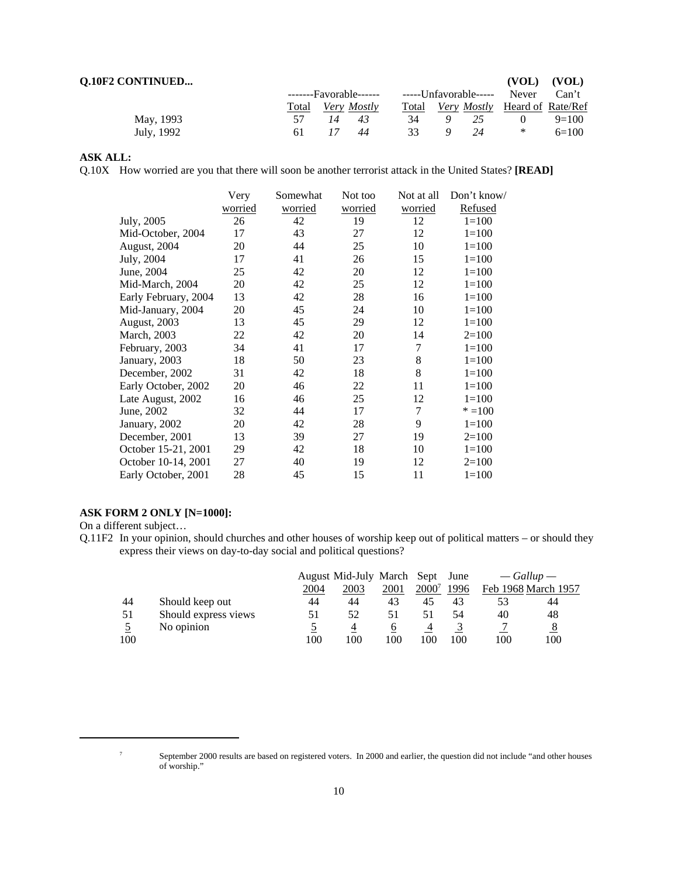| <b>Q.10F2 CONTINUED</b> |       |    |                        |       |                        | (VOL)                                | (VOL)   |
|-------------------------|-------|----|------------------------|-------|------------------------|--------------------------------------|---------|
|                         |       |    | -------Favorable------ |       | ------Unfavorable----- | Never                                | Can't   |
|                         | Total |    | Very Mostly            | Total |                        | <i>Very Mostly</i> Heard of Rate/Ref |         |
| May, 1993               |       | 14 | 43                     | 34    |                        |                                      | $9=100$ |
| July, 1992              | 61    |    | 44                     | 33    | 24                     | $\ast$                               | $6=100$ |

#### **ASK ALL:**

Q.10X How worried are you that there will soon be another terrorist attack in the United States? **[READ]**

|                      | Very<br>worried | Somewhat<br>worried | Not too<br>worried | Not at all<br>worried | Don't know/<br>Refused |
|----------------------|-----------------|---------------------|--------------------|-----------------------|------------------------|
| July, 2005           | 26              | 42                  | 19                 | 12                    | $1 = 100$              |
| Mid-October, 2004    | 17              | 43                  | 27                 | 12                    | $1=100$                |
| August, 2004         | 20              | 44                  | 25                 | 10                    | $1 = 100$              |
| July, 2004           | 17              | 41                  | 26                 | 15                    | $1=100$                |
| June, 2004           | 25              | 42                  | 20                 | 12                    | $1 = 100$              |
| Mid-March, 2004      | 20              | 42                  | 25                 | 12                    | $1 = 100$              |
| Early February, 2004 | 13              | 42                  | 28                 | 16                    | $1=100$                |
| Mid-January, 2004    | 20              | 45                  | 24                 | 10                    | $1=100$                |
| <b>August, 2003</b>  | 13              | 45                  | 29                 | 12                    | $1 = 100$              |
| March, 2003          | 22              | 42                  | 20                 | 14                    | $2=100$                |
| February, 2003       | 34              | 41                  | 17                 | 7                     | $1 = 100$              |
| January, 2003        | 18              | 50                  | 23                 | 8                     | $1=100$                |
| December, 2002       | 31              | 42                  | 18                 | 8                     | $1=100$                |
| Early October, 2002  | 20              | 46                  | 22                 | 11                    | $1 = 100$              |
| Late August, 2002    | 16              | 46                  | 25                 | 12                    | $1=100$                |
| June, 2002           | 32              | 44                  | 17                 | 7                     | $* = 100$              |
| January, 2002        | 20              | 42                  | 28                 | 9                     | $1 = 100$              |
| December, 2001       | 13              | 39                  | 27                 | 19                    | $2=100$                |
| October 15-21, 2001  | 29              | 42                  | 18                 | 10                    | $1 = 100$              |
| October 10-14, 2001  | 27              | 40                  | 19                 | 12                    | $2=100$                |
| Early October, 2001  | 28              | 45                  | 15                 | 11                    | $1 = 100$              |

#### **ASK FORM 2 ONLY [N=1000]:**

On a different subject…

Q.11F2 In your opinion, should churches and other houses of worship keep out of political matters – or should they express their views on day-to-day social and political questions?

|     |                      |      | August Mid-July March Sept |      |       | June |     | $-Gallup$           |
|-----|----------------------|------|----------------------------|------|-------|------|-----|---------------------|
|     |                      | 2004 | 2003                       | 2001 | 2000' | 1996 |     | Feb 1968 March 1957 |
| 44  | Should keep out      | 44   | 44                         | 43   | 45    | 43   |     | 44                  |
| 51  | Should express views | 51   | 52                         | 51   |       | 54   | 40  | 48                  |
|     | No opinion           |      |                            | O    |       |      |     |                     |
| 100 |                      | 100  | 100                        | 100  | 100   | 100  | 100 | 100                 |

<sup>7</sup> September 2000 results are based on registered voters. In 2000 and earlier, the question did not include "and other houses of worship."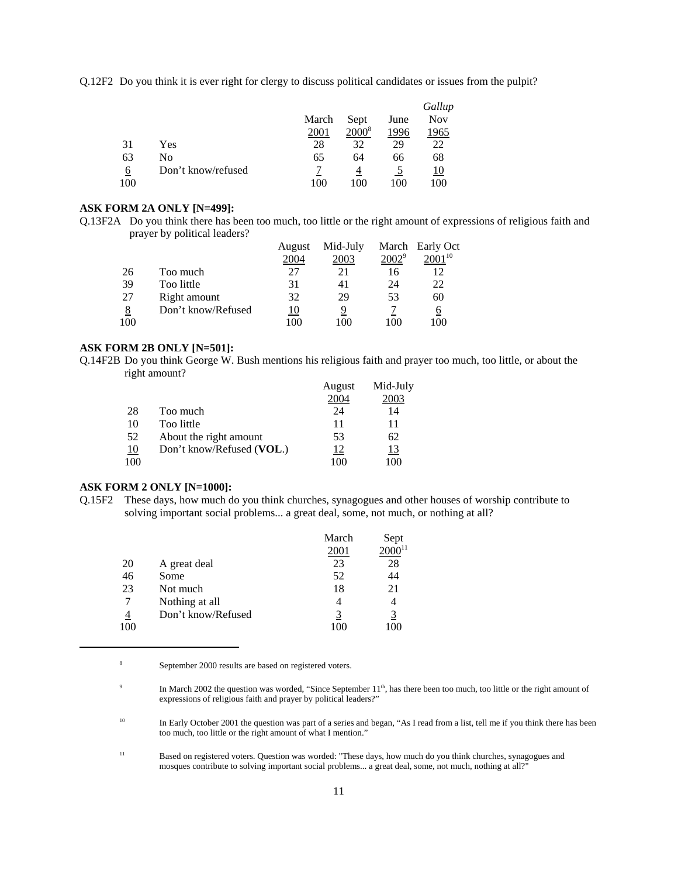Q.12F2 Do you think it is ever right for clergy to discuss political candidates or issues from the pulpit?

|     |                    |       |          |      | Gallup     |
|-----|--------------------|-------|----------|------|------------|
|     |                    | March | Sept     | June | <b>Nov</b> |
|     |                    | 2001  | $2000^8$ | 1996 | 1965       |
| 31  | Yes                | 28    | 32       | 29   | 22         |
| 63  | No                 | 65    | 64       | 66   | 68         |
| 6   | Don't know/refused |       |          |      | 10         |
| 100 |                    | 100   | 100      | 100  | 100        |

#### **ASK FORM 2A ONLY [N=499]:**

Q.13F2A Do you think there has been too much, too little or the right amount of expressions of religious faith and prayer by political leaders?

|          |                    | August | Mid-July |          | March Early Oct |
|----------|--------------------|--------|----------|----------|-----------------|
|          |                    | 2004   | 2003     | $2002^9$ | $2001^{10}$     |
| 26       | Too much           | 27     | 21       | 16       | 12              |
| 39       | Too little         | 31     | 41       | 24       | 22              |
| 27       | Right amount       | 32     | 29       | 53       | 60              |
| <u>8</u> | Don't know/Refused | 10     |          |          |                 |
| 100      |                    | 100    | 100      | 100      | 100             |

#### **ASK FORM 2B ONLY [N=501]:**

Q.14F2B Do you think George W. Bush mentions his religious faith and prayer too much, too little, or about the right amount?

|     |                           | August | Mid-July |
|-----|---------------------------|--------|----------|
|     |                           | 2004   | 2003     |
| 28  | Too much                  | 24     | 14       |
| 10  | Too little                | 11     | 11       |
| 52  | About the right amount    | 53     | 62       |
| 10  | Don't know/Refused (VOL.) | 12     | 13       |
| 100 |                           | 100    | 100      |

#### **ASK FORM 2 ONLY [N=1000]:**

Q.15F2 These days, how much do you think churches, synagogues and other houses of worship contribute to solving important social problems... a great deal, some, not much, or nothing at all?

|     |                    | March | Sept        |
|-----|--------------------|-------|-------------|
|     |                    | 2001  | $2000^{11}$ |
| 20  | A great deal       | 23    | 28          |
| 46  | Some               | 52    | 44          |
| 23  | Not much           | 18    | 21          |
| 7   | Nothing at all     |       |             |
| 4   | Don't know/Refused |       | <u>3</u>    |
| 100 |                    |       |             |

<sup>8</sup> September 2000 results are based on registered voters.

<sup>&</sup>lt;sup>9</sup> In March 2002 the question was worded, "Since September 11<sup>th</sup>, has there been too much, too little or the right amount of expressions of religious faith and prayer by political leaders?"

<sup>&</sup>lt;sup>10</sup> In Early October 2001 the question was part of a series and began, "As I read from a list, tell me if you think there has been too much, too little or the right amount of what I mention."

<sup>11</sup> Based on registered voters. Question was worded: "These days, how much do you think churches, synagogues and mosques contribute to solving important social problems... a great deal, some, not much, nothing at all?"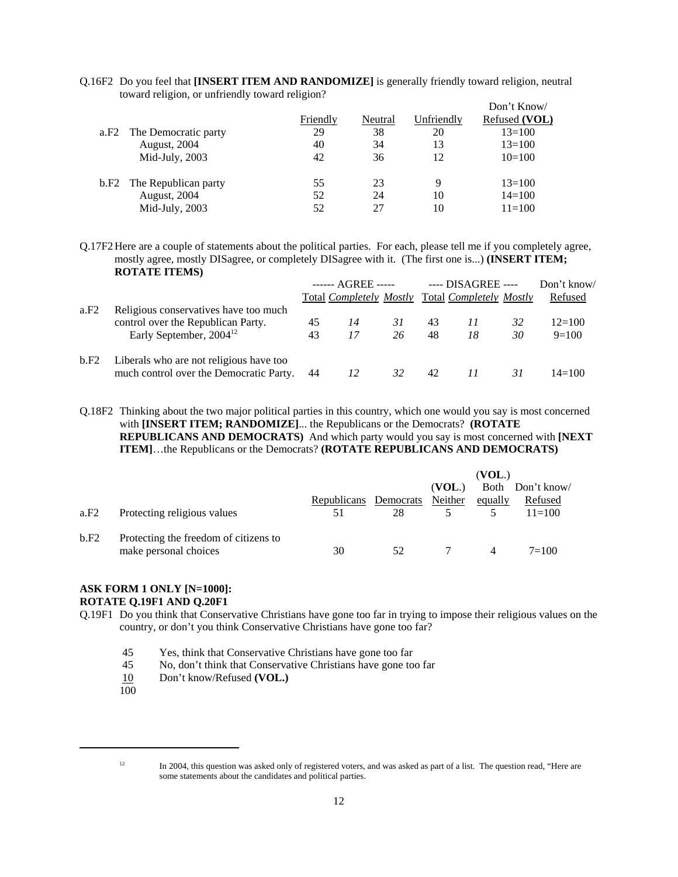|                              |          |         |            | Don't Know/   |
|------------------------------|----------|---------|------------|---------------|
|                              | Friendly | Neutral | Unfriendly | Refused (VOL) |
| The Democratic party<br>a.F2 | 29       | 38      | 20         | $13 = 100$    |
| <b>August, 2004</b>          | 40       | 34      | 13         | $13 = 100$    |
| Mid-July, 2003               | 42       | 36      | 12         | $10=100$      |
| b.F2 The Republican party    | 55       | 23      | 9          | $13=100$      |
| <b>August</b> , 2004         | 52       | 24      | 10         | $14 = 100$    |
| Mid-July, 2003               | 52       | 27      | 10         | $11 = 100$    |

Q.16F2 Do you feel that **[INSERT ITEM AND RANDOMIZE]** is generally friendly toward religion, neutral toward religion, or unfriendly toward religion?

Q.17F2 Here are a couple of statements about the political parties. For each, please tell me if you completely agree, mostly agree, mostly DISagree, or completely DISagree with it. (The first one is...) **(INSERT ITEM; ROTATE ITEMS)**

|      |                                                                                    | ------ AGREE ----- |          | ---- DISAGREE ----                              |          |    | Don't know/ |                     |
|------|------------------------------------------------------------------------------------|--------------------|----------|-------------------------------------------------|----------|----|-------------|---------------------|
| a.F2 | Religious conservatives have too much                                              |                    |          | Total Completely Mostly Total Completely Mostly |          |    |             | Refused             |
|      | control over the Republican Party.<br>Early September, 2004 <sup>12</sup>          | 45<br>43           | 14<br>17 | 31<br>26                                        | 43<br>48 | 18 | 32<br>30    | $12=100$<br>$9=100$ |
| b.F2 | Liberals who are not religious have too<br>much control over the Democratic Party. | 44                 | 12       | 32                                              | 42       |    | 31          | $14 = 100$          |

Q.18F2 Thinking about the two major political parties in this country, which one would you say is most concerned with **[INSERT ITEM; RANDOMIZE]**... the Republicans or the Democrats? **(ROTATE REPUBLICANS AND DEMOCRATS)** And which party would you say is most concerned with **[NEXT ITEM]**…the Republicans or the Democrats? **(ROTATE REPUBLICANS AND DEMOCRATS)**

|      |                                       |                               |    | (VOL.) |          |                  |
|------|---------------------------------------|-------------------------------|----|--------|----------|------------------|
|      |                                       |                               |    | (VOL.) |          | Both Don't know/ |
|      |                                       | Republicans Democrats Neither |    |        | equally  | Refused          |
| a.F2 | Protecting religious values           | 51                            | 28 |        |          | $11=100$         |
| b.F2 | Protecting the freedom of citizens to |                               |    |        |          |                  |
|      | make personal choices                 | 30                            | 52 |        | $\Delta$ | $7=100$          |

#### **ASK FORM 1 ONLY [N=1000]: ROTATE Q.19F1 AND Q.20F1**

- Q.19F1 Do you think that Conservative Christians have gone too far in trying to impose their religious values on the country, or don't you think Conservative Christians have gone too far?
	- 45 Yes, think that Conservative Christians have gone too far
	- 45 No, don't think that Conservative Christians have gone too far
	- 10 Don't know/Refused **(VOL.)**
	- 100

 $12$  In 2004, this question was asked only of registered voters, and was asked as part of a list. The question read, "Here are some statements about the candidates and political parties.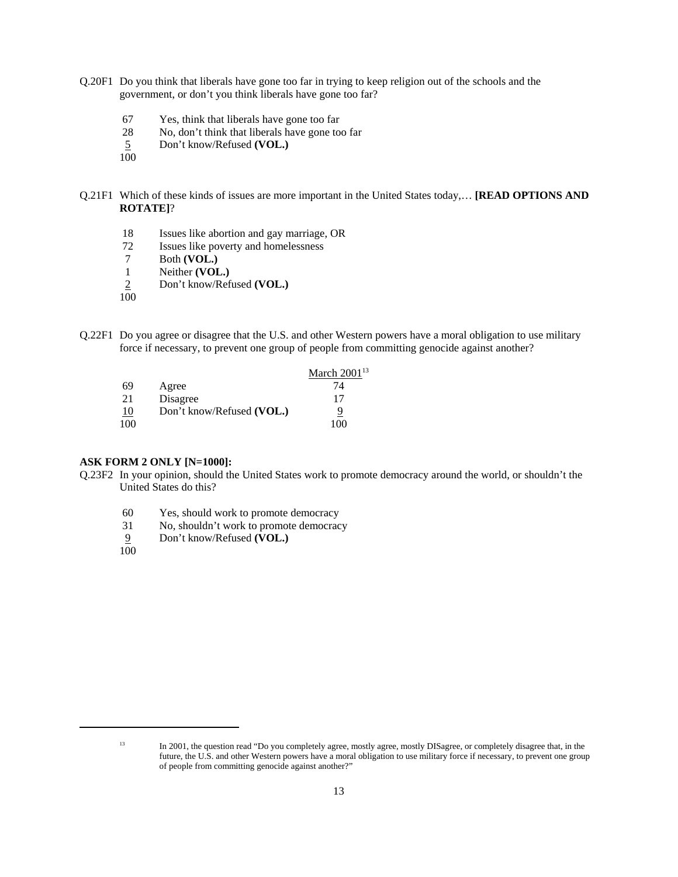- Q.20F1 Do you think that liberals have gone too far in trying to keep religion out of the schools and the government, or don't you think liberals have gone too far?
	- 67 Yes, think that liberals have gone too far
	- 28 No, don't think that liberals have gone too far
	- 5 Don't know/Refused **(VOL.)**
	- 100
- Q.21F1 Which of these kinds of issues are more important in the United States today,… **[READ OPTIONS AND ROTATE]**?
	- 18 Issues like abortion and gay marriage, OR
	- 72 Issues like poverty and homelessness
	- 7 Both **(VOL.)**
	- 1 Neither **(VOL.)**
	- 2 Don't know/Refused **(VOL.)**
	- $100$
- Q.22F1 Do you agree or disagree that the U.S. and other Western powers have a moral obligation to use military force if necessary, to prevent one group of people from committing genocide against another?

|     |                           | March $2001^{13}$ |
|-----|---------------------------|-------------------|
| 69  | Agree                     | 74                |
| 21  | Disagree                  | 17                |
| 10  | Don't know/Refused (VOL.) | 9                 |
| 100 |                           | 100               |

#### **ASK FORM 2 ONLY [N=1000]:**

- Q.23F2 In your opinion, should the United States work to promote democracy around the world, or shouldn't the United States do this?
	- 60 Yes, should work to promote democracy
	- 31 No, shouldn't work to promote democracy
	- 9 Don't know/Refused **(VOL.)**
	- 100

<sup>13</sup> In 2001, the question read "Do you completely agree, mostly agree, mostly DISagree, or completely disagree that, in the future, the U.S. and other Western powers have a moral obligation to use military force if necessary, to prevent one group of people from committing genocide against another?"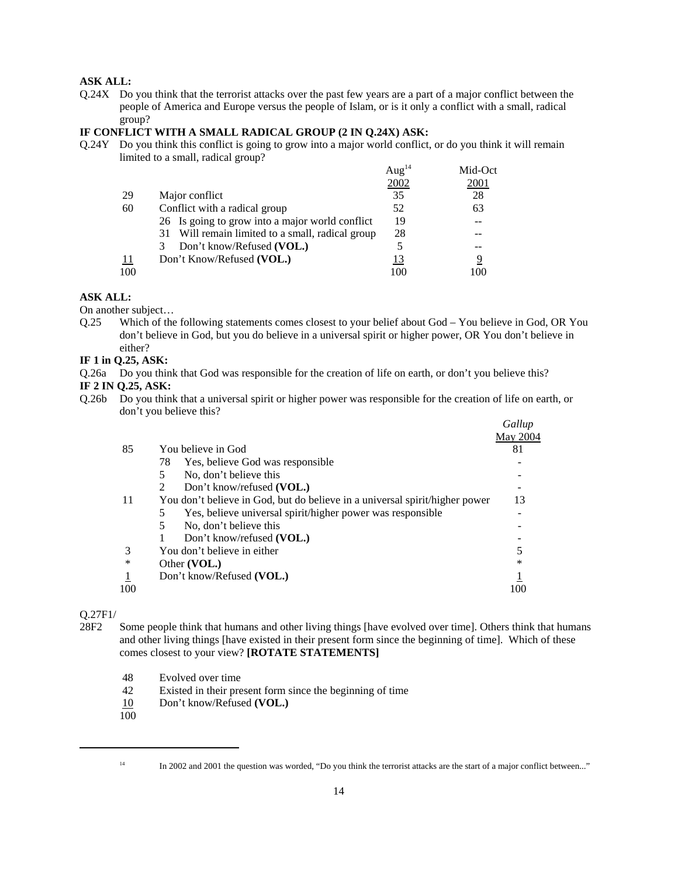#### **ASK ALL:**

Q.24X Do you think that the terrorist attacks over the past few years are a part of a major conflict between the people of America and Europe versus the people of Islam, or is it only a conflict with a small, radical group?

#### **IF CONFLICT WITH A SMALL RADICAL GROUP (2 IN Q.24X) ASK:**

Q.24Y Do you think this conflict is going to grow into a major world conflict, or do you think it will remain limited to a small, radical group?

|           |                                                  | Aug <sup>14</sup> | Mid-Oct |
|-----------|--------------------------------------------------|-------------------|---------|
|           |                                                  | 2002              | 2001    |
| 29        | Major conflict                                   | 35                | 28      |
| 60        | Conflict with a radical group                    | 52                | 63      |
|           | 26 Is going to grow into a major world conflict  | 19                |         |
|           | 31 Will remain limited to a small, radical group | 28                |         |
|           | Don't know/Refused (VOL.)<br>3                   |                   |         |
| <u>11</u> | Don't Know/Refused (VOL.)                        | 13                |         |
| 100       |                                                  | 100               |         |

#### **ASK ALL:**

On another subject…

Q.25 Which of the following statements comes closest to your belief about God – You believe in God, OR You don't believe in God, but you do believe in a universal spirit or higher power, OR You don't believe in either?

#### **IF 1 in Q.25, ASK:**

Q.26a Do you think that God was responsible for the creation of life on earth, or don't you believe this?

#### **IF 2 IN Q.25, ASK:**

Q.26b Do you think that a universal spirit or higher power was responsible for the creation of life on earth, or don't you believe this?  $G_{II}$ 

|     |                                                                             | Gallup   |
|-----|-----------------------------------------------------------------------------|----------|
|     |                                                                             | May 2004 |
| 85  | You believe in God                                                          | 81       |
|     | 78<br>Yes, believe God was responsible                                      |          |
|     | No, don't believe this<br>5                                                 |          |
|     | Don't know/refused (VOL.)<br>$\mathfrak{D}$                                 |          |
| 11  | You don't believe in God, but do believe in a universal spirit/higher power | 13       |
|     | Yes, believe universal spirit/higher power was responsible                  |          |
|     | No, don't believe this<br>5                                                 |          |
|     | Don't know/refused (VOL.)                                                   |          |
| 3   | You don't believe in either                                                 |          |
| ∗   | Other (VOL.)                                                                | ∗        |
|     | Don't know/Refused (VOL.)                                                   |          |
| 100 |                                                                             | 1 OC     |
|     |                                                                             |          |

#### Q.27F1/

- 28F2 Some people think that humans and other living things [have evolved over time]. Others think that humans and other living things [have existed in their present form since the beginning of time]. Which of these comes closest to your view? **[ROTATE STATEMENTS]**
	- 48 Evolved over time
	- 42 Existed in their present form since the beginning of time
	- 10 Don't know/Refused **(VOL.)**
	- $\overline{100}$

<sup>&</sup>lt;sup>14</sup> In 2002 and 2001 the question was worded, "Do you think the terrorist attacks are the start of a major conflict between..."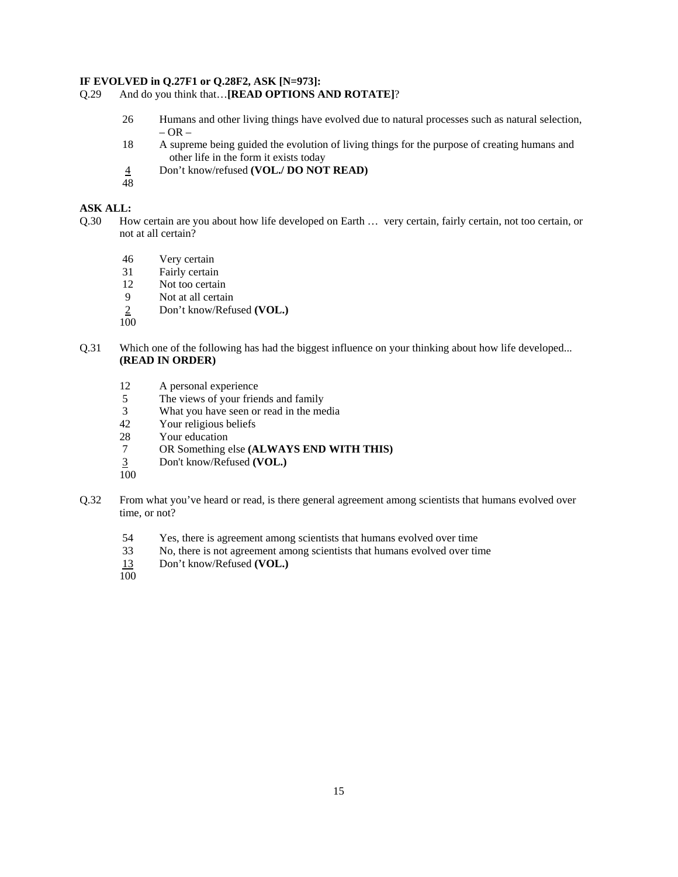#### **IF EVOLVED in Q.27F1 or Q.28F2, ASK [N=973]:**

```
Q.29 And do you think that…[READ OPTIONS AND ROTATE]?
```
- 26 Humans and other living things have evolved due to natural processes such as natural selection,  $-$  OR  $-$
- 18 A supreme being guided the evolution of living things for the purpose of creating humans and other life in the form it exists today
- 4 Don't know/refused **(VOL./ DO NOT READ)**
- 48

# **ASK ALL:**

- Q.30 How certain are you about how life developed on Earth … very certain, fairly certain, not too certain, or not at all certain?
	- 46 Very certain
	- 31 Fairly certain
	- 12 Not too certain
	- 9 Not at all certain<br>2 Don't know/Refu
	- 2 Don't know/Refused **(VOL.)**

100

- Q.31 Which one of the following has had the biggest influence on your thinking about how life developed... **(READ IN ORDER)**
	- 12 A personal experience
	- 5 The views of your friends and family
	- 3 What you have seen or read in the media
	- 42 Your religious beliefs
	- 28 Your education
	- 7 OR Something else **(ALWAYS END WITH THIS)**
	- 3 Don't know/Refused **(VOL.)**  $\frac{3}{100}$
	-
- Q.32 From what you've heard or read, is there general agreement among scientists that humans evolved over time, or not?
	- 54 Yes, there is agreement among scientists that humans evolved over time
	- 33 No, there is not agreement among scientists that humans evolved over time
	- 13 Don't know/Refused **(VOL.)**
	- $\overline{100}$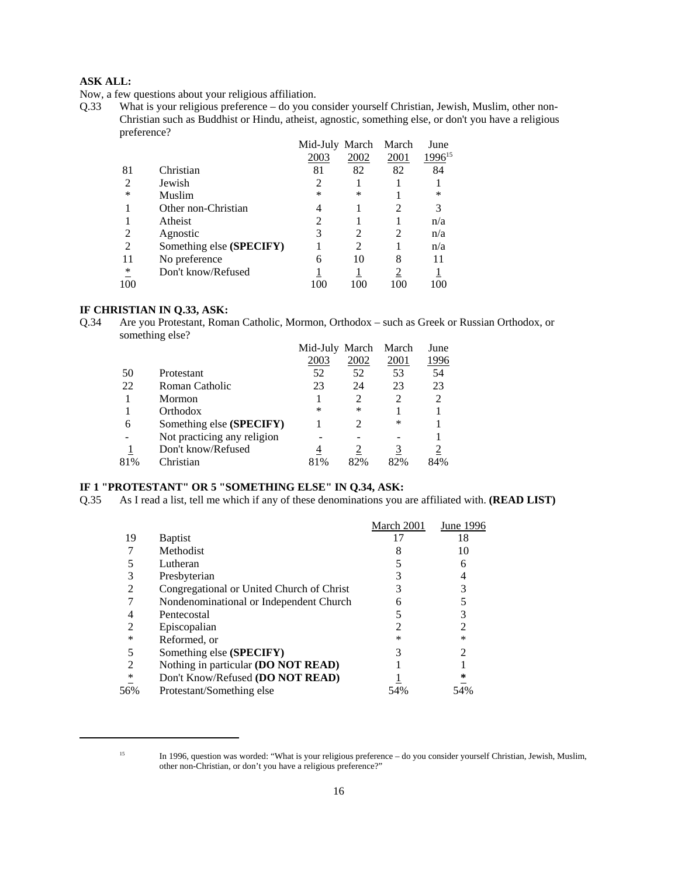# **ASK ALL:**

Now, a few questions about your religious affiliation.

Q.33 What is your religious preference – do you consider yourself Christian, Jewish, Muslim, other non-Christian such as Buddhist or Hindu, atheist, agnostic, something else, or don't you have a religious preference?

|    |                          | Mid-July March |      | March | June        |
|----|--------------------------|----------------|------|-------|-------------|
|    |                          | 2003           | 2002 | 2001  | $1996^{15}$ |
| 81 | Christian                | 81             | 82   | 82    | 84          |
| 2  | Jewish                   |                |      |       |             |
| *  | Muslim                   | *              | *    |       | ∗           |
|    | Other non-Christian      | 4              |      | 2     |             |
|    | Atheist                  | 2              |      |       | n/a         |
| 2  | Agnostic                 | 3              |      | 2     | n/a         |
| 2  | Something else (SPECIFY) |                |      |       | n/a         |
| 11 | No preference            | 6              | 10   | 8     |             |
| ∗  | Don't know/Refused       |                |      |       |             |
|    |                          |                |      |       |             |

#### **IF CHRISTIAN IN Q.33, ASK:**

Q.34 Are you Protestant, Roman Catholic, Mormon, Orthodox – such as Greek or Russian Orthodox, or something else?

|     |                             | Mid-July March |      | March | June           |
|-----|-----------------------------|----------------|------|-------|----------------|
|     |                             | 2003           | 2002 | 2001  | 1996           |
| 50  | Protestant                  | 52             | 52   | 53    | 54             |
| 22  | Roman Catholic              | 23             | 24   | 23    | 23             |
|     | Mormon                      |                | 2    |       | $\mathfrak{D}$ |
|     | Orthodox                    | *              | *    |       |                |
| 6   | Something else (SPECIFY)    |                | 2    | ∗     |                |
|     | Not practicing any religion |                |      |       |                |
|     | Don't know/Refused          |                |      |       |                |
| 81% | Christian                   | 81%            | 82%  | 82%   | 84%            |

# **IF 1 "PROTESTANT" OR 5 "SOMETHING ELSE" IN Q.34, ASK:**

Q.35 As I read a list, tell me which if any of these denominations you are affiliated with. **(READ LIST)**

|     |                                           | March 2001 | June 1996 |
|-----|-------------------------------------------|------------|-----------|
| 19  | <b>B</b> aptist                           |            | 18        |
|     | Methodist                                 |            | 10        |
|     | Lutheran                                  |            |           |
|     | Presbyterian                              |            |           |
|     | Congregational or United Church of Christ |            |           |
|     | Nondenominational or Independent Church   | n          |           |
|     | Pentecostal                               |            |           |
|     | Episcopalian                              |            |           |
| ∗   | Reformed, or                              | ∗          | *         |
|     | Something else (SPECIFY)                  |            |           |
|     | Nothing in particular (DO NOT READ)       |            |           |
| ∗   | Don't Know/Refused (DO NOT READ)          |            |           |
| 56% | Protestant/Something else                 |            | 54%       |
|     |                                           |            |           |

<sup>&</sup>lt;sup>15</sup> In 1996, question was worded: "What is your religious preference – do you consider yourself Christian, Jewish, Muslim, other non-Christian, or don't you have a religious preference?"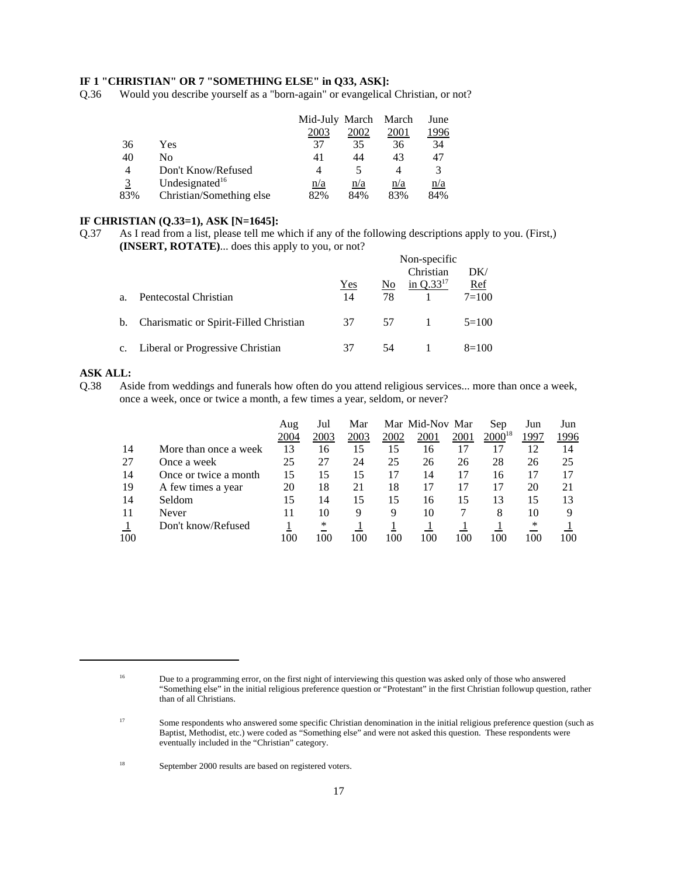### **IF 1 "CHRISTIAN" OR 7 "SOMETHING ELSE" in Q33, ASK]:**

Q.36 Would you describe yourself as a "born-again" or evangelical Christian, or not?

|     |                            | Mid-July March March |      |      | June |
|-----|----------------------------|----------------------|------|------|------|
|     |                            | 2003                 | 2002 | 2001 | .996 |
| 36  | Yes                        | 37                   | 35   | 36   | 34   |
| 40  | No                         | 41                   | 44   | 43   | 47   |
| 4   | Don't Know/Refused         | 4                    |      |      | 3    |
|     | Undesignated <sup>16</sup> | n/a                  | n/a  | n/a  | n/a  |
| 83% | Christian/Something else   | 82%                  | 84%  | 83%  | 84%  |

#### **IF CHRISTIAN (Q.33=1), ASK [N=1645]:**

Q.37 As I read from a list, please tell me which if any of the following descriptions apply to you. (First,) **(INSERT, ROTATE)**... does this apply to you, or not?

|    |                                           | Non-specific |     |                   |            |  |
|----|-------------------------------------------|--------------|-----|-------------------|------------|--|
|    |                                           |              |     | Christian         | DK/        |  |
|    |                                           | Yes          |     | No in $Q.33^{17}$ | <u>Ref</u> |  |
| a. | Pentecostal Christian                     | 14           | 78. |                   | $7 = 100$  |  |
|    | b. Charismatic or Spirit-Filled Christian | 37 57 1      |     |                   | $5=100$    |  |
|    | c. Liberal or Progressive Christian       | 37           | 54  |                   | $8=100$    |  |

#### **ASK ALL:**

Q.38 Aside from weddings and funerals how often do you attend religious services... more than once a week, once a week, once or twice a month, a few times a year, seldom, or never?

|     |                       | Aug<br>2004 | Jul<br>2003 | Mar<br>2003 | 2002 | Mar Mid-Nov Mar<br>2001 | 2001 | Sep<br>$2000^{18}$ | Jun<br>1997 | Jun<br>1996 |
|-----|-----------------------|-------------|-------------|-------------|------|-------------------------|------|--------------------|-------------|-------------|
|     |                       |             |             |             |      |                         |      |                    |             |             |
| 14  | More than once a week | 13          | 16          | 15          | 15   | 16                      |      |                    | 12          | 14          |
| 27  | Once a week           | 25          | 27          | 24          | 25   | 26                      | 26   | 28                 | 26          | 25          |
| 14  | Once or twice a month | 15          | 15          | 15          | 17   | 14                      | 17   | 16                 | 17          |             |
| 19  | A few times a year    | 20          | 18          | 21          | 18   | 17                      |      | 17                 | 20          | 21          |
| 14  | Seldom                | 15          | 14          | 15          | 15   | 16                      | 15   | 13                 | 15          | 13          |
| 11  | Never                 |             | 10          | 9           | 9    | 10                      |      | 8                  | 10          | Q           |
|     | Don't know/Refused    |             | *           |             |      |                         |      |                    | ∗           |             |
| 100 |                       | 100         | 100         | 100         | 100  | 100                     | 100  | 100                | 100         | 100         |

<sup>&</sup>lt;sup>16</sup> Due to a programming error, on the first night of interviewing this question was asked only of those who answered "Something else" in the initial religious preference question or "Protestant" in the first Christian followup question, rather than of all Christians.

<sup>&</sup>lt;sup>17</sup> Some respondents who answered some specific Christian denomination in the initial religious preference question (such as Baptist, Methodist, etc.) were coded as "Something else" and were not asked this question. These respondents were eventually included in the "Christian" category.

<sup>18</sup> September 2000 results are based on registered voters.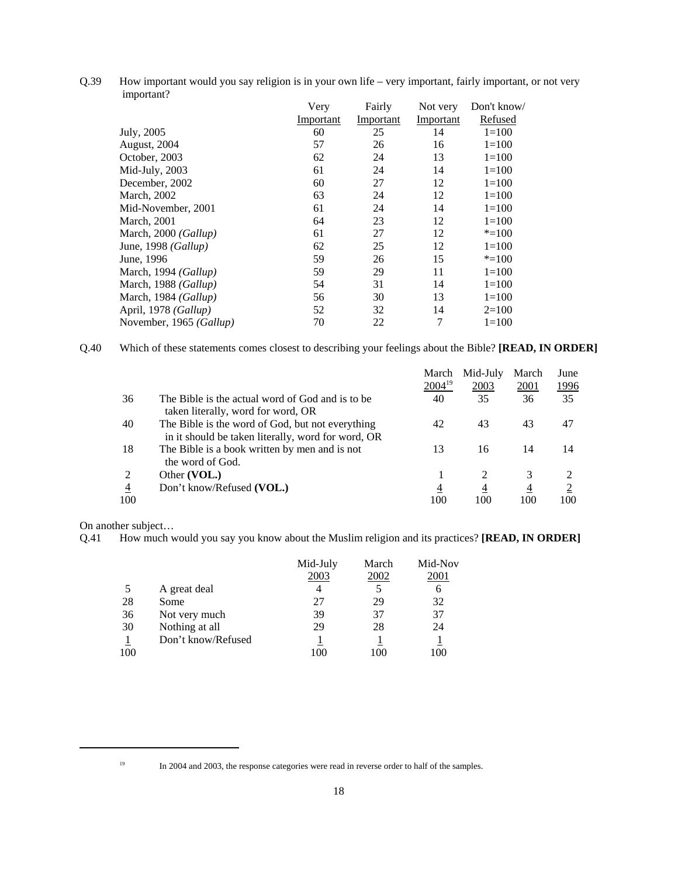Q.39 How important would you say religion is in your own life – very important, fairly important, or not very important?

|                         | Very      | Fairly    | Not very  | Don't know/ |
|-------------------------|-----------|-----------|-----------|-------------|
|                         | Important | Important | Important | Refused     |
| July, 2005              | 60        | 25        | 14        | $1 = 100$   |
| August, 2004            | 57        | 26        | 16        | $1 = 100$   |
| October, 2003           | 62        | 24        | 13        | $1=100$     |
| Mid-July, 2003          | 61        | 24        | 14        | $1 = 100$   |
| December, 2002          | 60        | 27        | 12        | $1 = 100$   |
| March, 2002             | 63        | 24        | 12        | $1 = 100$   |
| Mid-November, 2001      | 61        | 24        | 14        | $1=100$     |
| March, 2001             | 64        | 23        | 12        | $1 = 100$   |
| March, 2000 (Gallup)    | 61        | 27        | 12        | $* = 100$   |
| June, 1998 (Gallup)     | 62        | 25        | 12        | $1=100$     |
| June, 1996              | 59        | 26        | 15        | $* = 100$   |
| March, 1994 (Gallup)    | 59        | 29        | 11        | $1 = 100$   |
| March, 1988 (Gallup)    | 54        | 31        | 14        | $1 = 100$   |
| March, 1984 (Gallup)    | 56        | 30        | 13        | $1 = 100$   |
| April, 1978 (Gallup)    | 52        | 32        | 14        | $2=100$     |
| November, 1965 (Gallup) | 70        | 22        | 7         | $1 = 100$   |

Q.40 Which of these statements comes closest to describing your feelings about the Bible? **[READ, IN ORDER]**

|                |                                                                                                        | March       | Mid-July | March          | June           |
|----------------|--------------------------------------------------------------------------------------------------------|-------------|----------|----------------|----------------|
|                |                                                                                                        | $2004^{19}$ | 2003     | 2001           | <u>1996</u>    |
| 36             | The Bible is the actual word of God and is to be<br>taken literally, word for word, OR                 | 40          | 35       | 36             | 35             |
| 40             | The Bible is the word of God, but not everything<br>in it should be taken literally, word for word, OR | 42          | 43       | 43             | 47             |
| 18             | The Bible is a book written by men and is not<br>the word of God.                                      | 13          | 16       | 14             | 14             |
| 2              | Other (VOL.)                                                                                           |             |          | 3              |                |
| $\overline{4}$ | Don't know/Refused (VOL.)                                                                              | 4           | 4        | $\overline{4}$ | $\overline{2}$ |
| 100            |                                                                                                        | 100         | 100      | 100            | 100            |

On another subject…

Q.41 How much would you say you know about the Muslim religion and its practices? **[READ, IN ORDER]**

|     |                    | Mid-July | March | Mid-Nov |
|-----|--------------------|----------|-------|---------|
|     |                    | 2003     | 2002  | 2001    |
|     | A great deal       |          |       | 6       |
| 28  | Some               | 27       | 29    | 32      |
| 36  | Not very much      | 39       | 37    | 37      |
| 30  | Nothing at all     | 29       | 28    | 24      |
|     | Don't know/Refused |          |       |         |
| 100 |                    | 100      | 1 OC  | 100     |

<sup>&</sup>lt;sup>19</sup> In 2004 and 2003, the response categories were read in reverse order to half of the samples.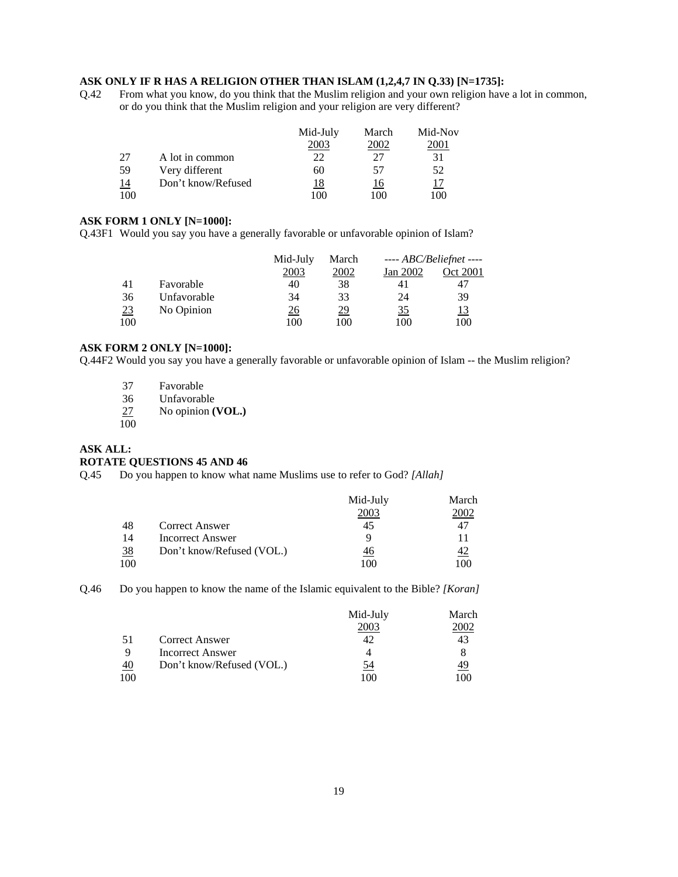#### **ASK ONLY IF R HAS A RELIGION OTHER THAN ISLAM (1,2,4,7 IN Q.33) [N=1735]:**

Q.42 From what you know, do you think that the Muslim religion and your own religion have a lot in common, or do you think that the Muslim religion and your religion are very different?

|                |                    | Mid-July | March | Mid-Nov     |
|----------------|--------------------|----------|-------|-------------|
|                |                    | 2003     | 2002  | <b>2001</b> |
| 27             | A lot in common    | 22       | 27    | 31          |
| .59            | Very different     | 60       | 57    | 52          |
| $\frac{14}{1}$ | Don't know/Refused | 18       | 16    |             |
| 100            |                    | 100      | 100   | 100         |

#### **ASK FORM 1 ONLY [N=1000]:**

Q.43F1 Would you say you have a generally favorable or unfavorable opinion of Islam?

|     |             | Mid-July | March     |           | ---- $ABC/Beliefnet$ ---- |
|-----|-------------|----------|-----------|-----------|---------------------------|
|     |             | 2003     | 2002      | Jan 2002  | Oct 2001                  |
| 41  | Favorable   | 40       | 38        | 41        | 47                        |
| 36  | Unfavorable | 34       | 33        | 24        | 39                        |
| 23  | No Opinion  | 26       | <u>29</u> | <u>35</u> | <u> 13</u>                |
| 100 |             | 100      | 100       | 100       | 100                       |

#### **ASK FORM 2 ONLY [N=1000]:**

Q.44F2 Would you say you have a generally favorable or unfavorable opinion of Islam -- the Muslim religion?

- 37 Favorable
- 
- 36 Unfavorable<br>27 No opinion ( No opinion **(VOL.)**
- $\overline{100}$

#### **ASK ALL: ROTATE QUESTIONS 45 AND 46**

Q.45 Do you happen to know what name Muslims use to refer to God? *[Allah]*

|                |                           | Mid-July  | March     |
|----------------|---------------------------|-----------|-----------|
|                |                           | 2003      | :002      |
| -48            | <b>Correct Answer</b>     | 45        | 47        |
| 14             | Incorrect Answer          |           |           |
| $\frac{38}{5}$ | Don't know/Refused (VOL.) | <u>46</u> | <u>42</u> |
| 100            |                           | 100       | 100       |

Q.46 Do you happen to know the name of the Islamic equivalent to the Bible? *[Koran]*

|             |                           | Mid-July | March        |
|-------------|---------------------------|----------|--------------|
|             |                           | 2003     | <u> 2002</u> |
| -51         | <b>Correct Answer</b>     |          | 43           |
| $\mathbf Q$ | Incorrect Answer          |          | 8            |
| 40          | Don't know/Refused (VOL.) | 54       | 49           |
| 100         |                           | 100      | ۱M           |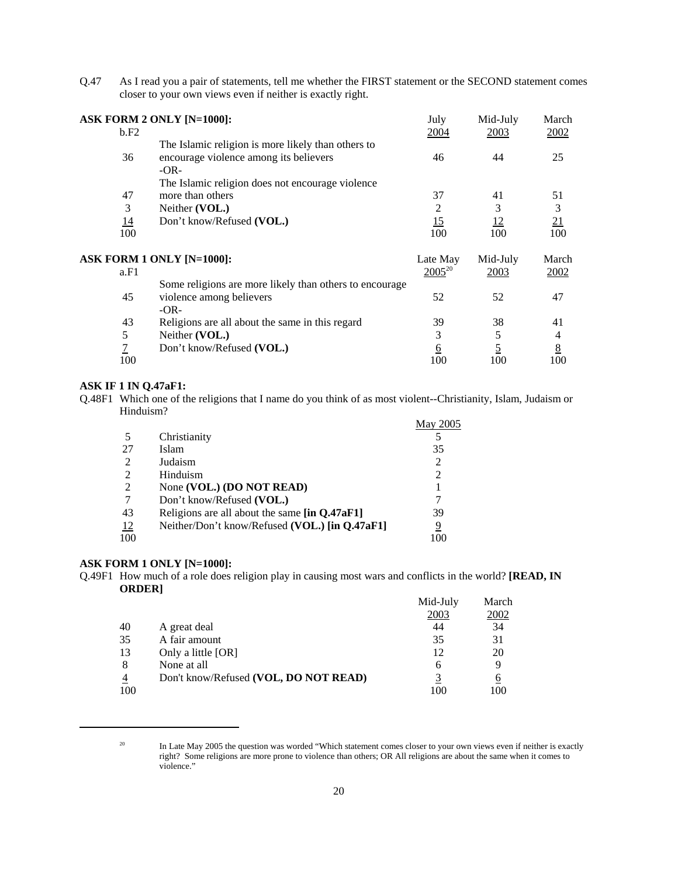Q.47 As I read you a pair of statements, tell me whether the FIRST statement or the SECOND statement comes closer to your own views even if neither is exactly right.

|                | <b>ASK FORM 2 ONLY [N=1000]:</b>                        | July        | Mid-July  | March           |
|----------------|---------------------------------------------------------|-------------|-----------|-----------------|
| b.F2           |                                                         | 2004        | 2003      | 2002            |
|                | The Islamic religion is more likely than others to      |             |           |                 |
| 36             | encourage violence among its believers                  | 46          | 44        | 25              |
|                | $-OR-$                                                  |             |           |                 |
|                | The Islamic religion does not encourage violence        |             |           |                 |
| 47             | more than others                                        | 37          | 41        | 51              |
| 3              | Neither (VOL.)                                          | 2           | 3         | 3               |
| <u>14</u>      | Don't know/Refused (VOL.)                               | 15          | <u>12</u> | 21              |
| 100            |                                                         | 100         | 100       | 100             |
|                | <b>ASK FORM 1 ONLY [N=1000]:</b>                        | Late May    | Mid-July  | March           |
| a.F1           |                                                         | $2005^{20}$ | 2003      | 2002            |
|                | Some religions are more likely than others to encourage |             |           |                 |
| 45             | violence among believers                                | 52          | 52        | 47              |
|                | $-OR-$                                                  |             |           |                 |
| 43             | Religions are all about the same in this regard         | 39          | 38        | 41              |
| 5              | Neither (VOL.)                                          | 3           | 5         | 4               |
| $\overline{1}$ | Don't know/Refused (VOL.)                               | 6           |           | $\underline{8}$ |
| 100            |                                                         | 100         | 100       | 100             |

#### **ASK IF 1 IN Q.47aF1:**

Q.48F1 Which one of the religions that I name do you think of as most violent--Christianity, Islam, Judaism or Hinduism?

| Hinduism? |                                                |          |
|-----------|------------------------------------------------|----------|
|           |                                                | May 2005 |
|           | Christianity                                   |          |
| 27        | Islam                                          | 35       |
| 2         | Judaism                                        | 2        |
| 2         | Hinduism                                       | 2        |
| 2         | None (VOL.) (DO NOT READ)                      |          |
|           | Don't know/Refused (VOL.)                      |          |
| 43        | Religions are all about the same [in Q.47aF1]  | 39       |
| <u>12</u> | Neither/Don't know/Refused (VOL.) [in Q.47aF1] | 9        |
| 100       |                                                | 100      |

#### **ASK FORM 1 ONLY [N=1000]:**

Q.49F1 How much of a role does religion play in causing most wars and conflicts in the world? **[READ, IN ORDER]**  Mid-July March

|                |                                       | Mid-July | March |
|----------------|---------------------------------------|----------|-------|
|                |                                       | 2003     | 2002  |
| 40             | A great deal                          | 44       | 34    |
| 35             | A fair amount                         | 35       | 31    |
| 13             | Only a little [OR]                    | 12       | 20    |
| 8              | None at all                           | 6        |       |
| $\overline{4}$ | Don't know/Refused (VOL, DO NOT READ) |          | 6     |
| 100            |                                       | 100      | 100   |

<sup>&</sup>lt;sup>20</sup> In Late May 2005 the question was worded "Which statement comes closer to your own views even if neither is exactly right? Some religions are more prone to violence than others; OR All religions are about the same when it comes to violence."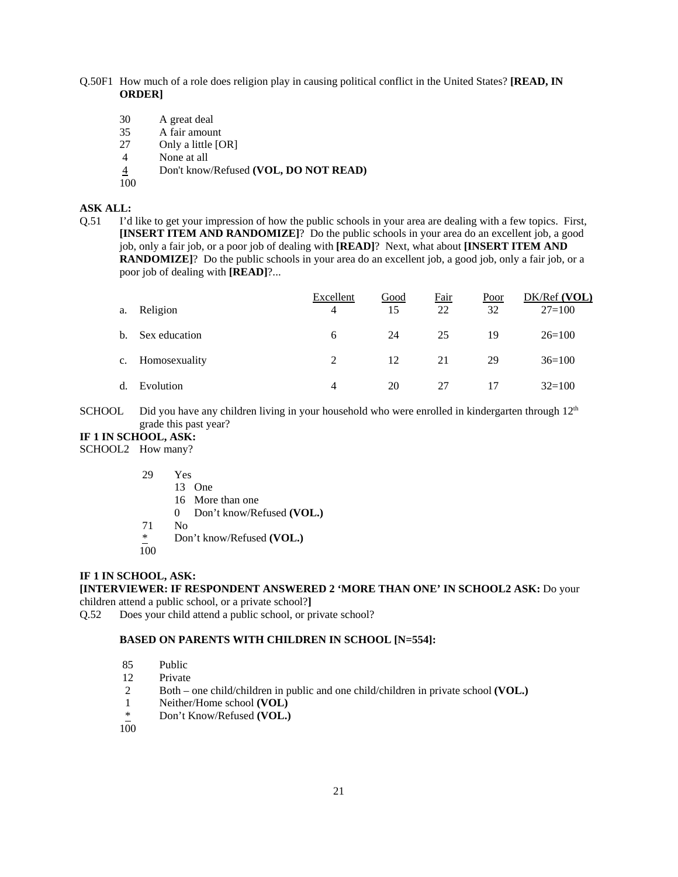- Q.50F1 How much of a role does religion play in causing political conflict in the United States? **[READ, IN ORDER]**
	- 30 A great deal
	- 35 A fair amount
	- 27 Only a little [OR]
	- 4 None at all
	- 4 Don't know/Refused **(VOL, DO NOT READ)**
	- 100

# **ASK ALL:**

Q.51 I'd like to get your impression of how the public schools in your area are dealing with a few topics. First, **[INSERT ITEM AND RANDOMIZE]**? Do the public schools in your area do an excellent job, a good job, only a fair job, or a poor job of dealing with **[READ]**? Next, what about **[INSERT ITEM AND RANDOMIZE**]? Do the public schools in your area do an excellent job, a good job, only a fair job, or a poor job of dealing with **[READ]**?...

|             |               | Excellent      | Good | Fair | Poor | DK/Ref (VOL) |
|-------------|---------------|----------------|------|------|------|--------------|
| a.          | Religion      | 4              | 15   | 22   | 32   | $27 = 100$   |
| b.          | Sex education | 6              | 24   | 25   | 19   | $26=100$     |
| c.          | Homosexuality | 2              | 12   | 21   | 29   | $36=100$     |
| $d_{\cdot}$ | Evolution     | $\overline{4}$ | 20   | 27   | 17   | $32=100$     |

SCHOOL Did you have any children living in your household who were enrolled in kindergarten through  $12<sup>th</sup>$ grade this past year?

#### **IF 1 IN SCHOOL, ASK:**

SCHOOL2 How many?

| 29 | Yes                                     |
|----|-----------------------------------------|
|    | 13 One                                  |
|    | 16 More than one                        |
|    | Don't know/Refused (VOL.)<br>$^{\circ}$ |
| 71 | Nο                                      |
| ∗  | Don't know/Refused (VOL.)               |

100

#### **IF 1 IN SCHOOL, ASK:**

**[INTERVIEWER: IF RESPONDENT ANSWERED 2 'MORE THAN ONE' IN SCHOOL2 ASK:** Do your children attend a public school, or a private school?**]**

Q.52 Does your child attend a public school, or private school?

#### **BASED ON PARENTS WITH CHILDREN IN SCHOOL [N=554]:**

| 85 | Public |
|----|--------|
|    |        |

- 12 Private
- 2 Both one child/children in public and one child/children in private school **(VOL.)**
- 1 Neither/Home school **(VOL)**
- \* Don't Know/Refused **(VOL.)**
- 100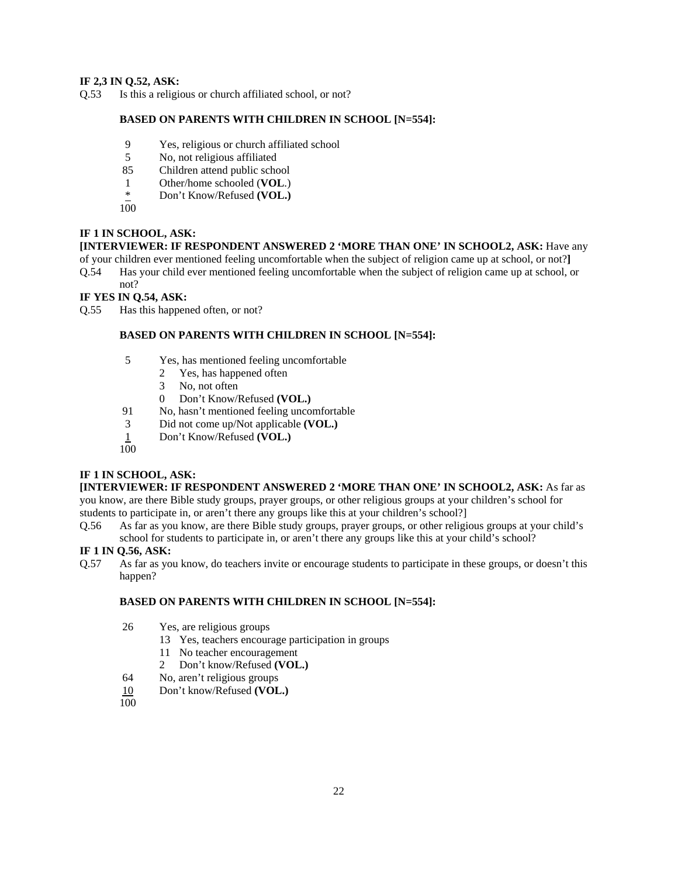### **IF 2,3 IN Q.52, ASK:**

Q.53 Is this a religious or church affiliated school, or not?

### **BASED ON PARENTS WITH CHILDREN IN SCHOOL [N=554]:**

- 9 Yes, religious or church affiliated school
- 5 No, not religious affiliated
- 85 Children attend public school
- 1 Other/home schooled (**VOL**.)<br>
\* Don't Know/Refused (**VOL.**)
- Don't Know/Refused **(VOL.)**

 $100$ 

#### **IF 1 IN SCHOOL, ASK:**

**[INTERVIEWER: IF RESPONDENT ANSWERED 2 'MORE THAN ONE' IN SCHOOL2, ASK:** Have any

- of your children ever mentioned feeling uncomfortable when the subject of religion came up at school, or not?**]**
- Q.54 Has your child ever mentioned feeling uncomfortable when the subject of religion came up at school, or not?

### **IF YES IN Q.54, ASK:**

Q.55 Has this happened often, or not?

#### **BASED ON PARENTS WITH CHILDREN IN SCHOOL [N=554]:**

- 5 Yes, has mentioned feeling uncomfortable
	- 2 Yes, has happened often
	- 3 No, not often
	- 0 Don't Know/Refused **(VOL.)**
- 91 No, hasn't mentioned feeling uncomfortable
- 3 Did not come up/Not applicable **(VOL.)**
- 1 Don't Know/Refused **(VOL.)**
- 100

# **IF 1 IN SCHOOL, ASK:**

**[INTERVIEWER: IF RESPONDENT ANSWERED 2 'MORE THAN ONE' IN SCHOOL2, ASK:** As far as you know, are there Bible study groups, prayer groups, or other religious groups at your children's school for

- students to participate in, or aren't there any groups like this at your children's school?]
- Q.56 As far as you know, are there Bible study groups, prayer groups, or other religious groups at your child's school for students to participate in, or aren't there any groups like this at your child's school?

#### **IF 1 IN Q.56, ASK:**

Q.57 As far as you know, do teachers invite or encourage students to participate in these groups, or doesn't this happen?

#### **BASED ON PARENTS WITH CHILDREN IN SCHOOL [N=554]:**

- 26 Yes, are religious groups
	- 13 Yes, teachers encourage participation in groups
	- 11 No teacher encouragement
	- 2 Don't know/Refused **(VOL.)**
- 64 No, aren't religious groups
- 10 Don't know/Refused **(VOL.)**
- 100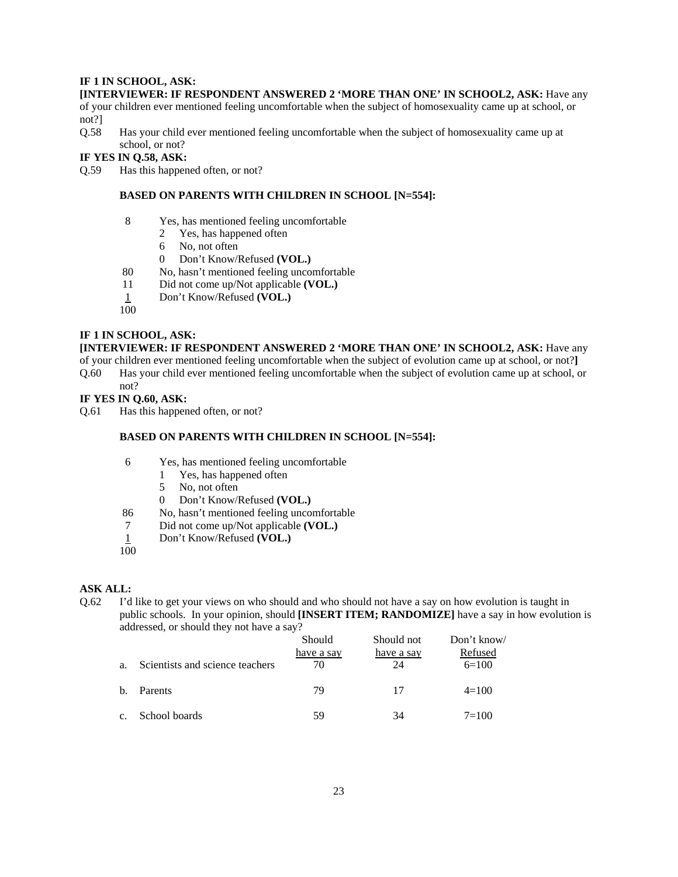#### **IF 1 IN SCHOOL, ASK:**

#### **[INTERVIEWER: IF RESPONDENT ANSWERED 2 'MORE THAN ONE' IN SCHOOL2, ASK:** Have any

of your children ever mentioned feeling uncomfortable when the subject of homosexuality came up at school, or not?]

Q.58 Has your child ever mentioned feeling uncomfortable when the subject of homosexuality came up at school, or not?

**IF YES IN Q.58, ASK:**

Q.59 Has this happened often, or not?

#### **BASED ON PARENTS WITH CHILDREN IN SCHOOL [N=554]:**

- 8 Yes, has mentioned feeling uncomfortable
	- 2 Yes, has happened often
	- 6 No, not often
	- 0 Don't Know/Refused **(VOL.)**
- 80 No, hasn't mentioned feeling uncomfortable
- 11 Did not come up/Not applicable **(VOL.)**
- 1 Don't Know/Refused **(VOL.)**

 $100$ 

#### **IF 1 IN SCHOOL, ASK:**

**[INTERVIEWER: IF RESPONDENT ANSWERED 2 'MORE THAN ONE' IN SCHOOL2, ASK:** Have any

- of your children ever mentioned feeling uncomfortable when the subject of evolution came up at school, or not?**]**
- Q.60 Has your child ever mentioned feeling uncomfortable when the subject of evolution came up at school, or not?

#### **IF YES IN Q.60, ASK:**

Q.61 Has this happened often, or not?

#### **BASED ON PARENTS WITH CHILDREN IN SCHOOL [N=554]:**

- 6 Yes, has mentioned feeling uncomfortable
	- 1 Yes, has happened often
	- 5 No, not often
	- 0 Don't Know/Refused **(VOL.)**
- 86 No, hasn't mentioned feeling uncomfortable
- 7 Did not come up/Not applicable **(VOL.)**
- 1 Don't Know/Refused **(VOL.)**
- 100

#### **ASK ALL:**

Q.62 I'd like to get your views on who should and who should not have a say on how evolution is taught in public schools. In your opinion, should **[INSERT ITEM; RANDOMIZE]** have a say in how evolution is addressed, or should they not have a say?

|                |                                 | Should     | Should not | Don't know/ |
|----------------|---------------------------------|------------|------------|-------------|
|                |                                 | have a say | have a say | Refused     |
| a.             | Scientists and science teachers | 70         | 24         | $6=100$     |
| $\mathbf{b}$ . | <b>Parents</b>                  | 79         | 17         | $4 = 100$   |
| C <sub>1</sub> | School boards                   | 59         | 34         | $7 = 100$   |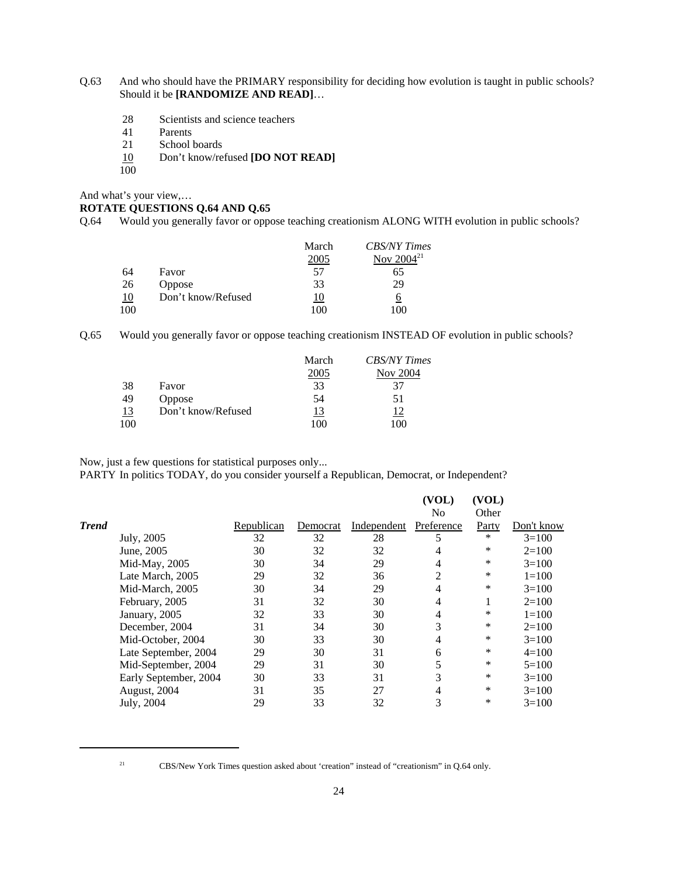- Q.63 And who should have the PRIMARY responsibility for deciding how evolution is taught in public schools? Should it be **[RANDOMIZE AND READ]**…
	- 28 Scientists and science teachers
	- 41 Parents<br>21 School
	- School boards
	- 10 Don't know/refused **[DO NOT READ]**  $\frac{10}{100}$
	-

And what's your view,…

#### **ROTATE QUESTIONS Q.64 AND Q.65**

Q.64 Would you generally favor or oppose teaching creationism ALONG WITH evolution in public schools?

|           |                    | March | <b>CBS/NY Times</b> |
|-----------|--------------------|-------|---------------------|
|           |                    | 2005  | Nov $2004^{21}$     |
| 64        | Favor              | 57    | 65                  |
| 26        | <b>Oppose</b>      | 33    | 29                  |
| <u>10</u> | Don't know/Refused | 10    | 6                   |
| 100       |                    | 100   | 100                 |

Q.65 Would you generally favor or oppose teaching creationism INSTEAD OF evolution in public schools?

|           |                    | March     | <b>CBS/NY Times</b> |
|-----------|--------------------|-----------|---------------------|
|           |                    | 2005      | <b>Nov 2004</b>     |
| 38        | Favor              | 33        | 37                  |
| 49        | <b>Oppose</b>      | 54        | 51                  |
| <u>13</u> | Don't know/Refused | <u>13</u> |                     |
| 100       |                    | 100       | -00                 |

Now, just a few questions for statistical purposes only...

PARTY In politics TODAY, do you consider yourself a Republican, Democrat, or Independent?

|              |                       |            |          |             | (VOL)          | (VOL)  |            |
|--------------|-----------------------|------------|----------|-------------|----------------|--------|------------|
|              |                       |            |          |             | N <sub>0</sub> | Other  |            |
| <b>Trend</b> |                       | Republican | Democrat | Independent | Preference     | Party  | Don't know |
|              | July, 2005            | 32         | 32       | 28          | 5              | $\ast$ | $3=100$    |
|              | June, 2005            | 30         | 32       | 32          | 4              | *      | $2=100$    |
|              | Mid-May, 2005         | 30         | 34       | 29          | 4              | *      | $3=100$    |
|              | Late March, 2005      | 29         | 32       | 36          | 2              | $\ast$ | $1 = 100$  |
|              | Mid-March, 2005       | 30         | 34       | 29          | 4              | *      | $3=100$    |
|              | February, 2005        | 31         | 32       | 30          | 4              |        | $2=100$    |
|              | January, 2005         | 32         | 33       | 30          | 4              | *      | $1 = 100$  |
|              | December, 2004        | 31         | 34       | 30          | 3              | *      | $2=100$    |
|              | Mid-October, 2004     | 30         | 33       | 30          | 4              | *      | $3=100$    |
|              | Late September, 2004  | 29         | 30       | 31          | 6              | *      | $4=100$    |
|              | Mid-September, 2004   | 29         | 31       | 30          |                | *      | $5=100$    |
|              | Early September, 2004 | 30         | 33       | 31          | 3              | *      | $3=100$    |
|              | August, 2004          | 31         | 35       | 27          | 4              | *      | $3=100$    |
|              | July, 2004            | 29         | 33       | 32          | 3              | *      | $3=100$    |
|              |                       |            |          |             |                |        |            |

<sup>&</sup>lt;sup>21</sup> CBS/New York Times question asked about 'creation' instead of "creationism" in Q.64 only.